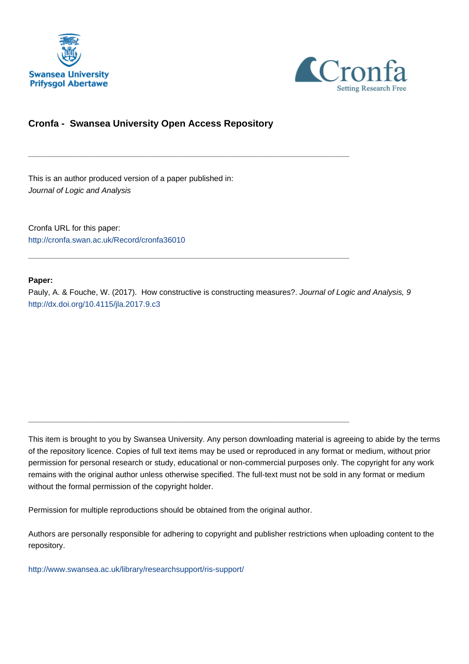



# **Cronfa - Swansea University Open Access Repository**

\_\_\_\_\_\_\_\_\_\_\_\_\_\_\_\_\_\_\_\_\_\_\_\_\_\_\_\_\_\_\_\_\_\_\_\_\_\_\_\_\_\_\_\_\_\_\_\_\_\_\_\_\_\_\_\_\_\_\_\_\_

\_\_\_\_\_\_\_\_\_\_\_\_\_\_\_\_\_\_\_\_\_\_\_\_\_\_\_\_\_\_\_\_\_\_\_\_\_\_\_\_\_\_\_\_\_\_\_\_\_\_\_\_\_\_\_\_\_\_\_\_\_

 $\_$  , and the set of the set of the set of the set of the set of the set of the set of the set of the set of the set of the set of the set of the set of the set of the set of the set of the set of the set of the set of th

This is an author produced version of a paper published in: Journal of Logic and Analysis

Cronfa URL for this paper: <http://cronfa.swan.ac.uk/Record/cronfa36010>

### **Paper:**

Pauly, A. & Fouche, W. (2017). How constructive is constructing measures?. Journal of Logic and Analysis, 9 <http://dx.doi.org/10.4115/jla.2017.9.c3>

This item is brought to you by Swansea University. Any person downloading material is agreeing to abide by the terms of the repository licence. Copies of full text items may be used or reproduced in any format or medium, without prior permission for personal research or study, educational or non-commercial purposes only. The copyright for any work remains with the original author unless otherwise specified. The full-text must not be sold in any format or medium without the formal permission of the copyright holder.

Permission for multiple reproductions should be obtained from the original author.

Authors are personally responsible for adhering to copyright and publisher restrictions when uploading content to the repository.

[http://www.swansea.ac.uk/library/researchsupport/ris-support/](http://www.swansea.ac.uk/library/researchsupport/ris-support/ )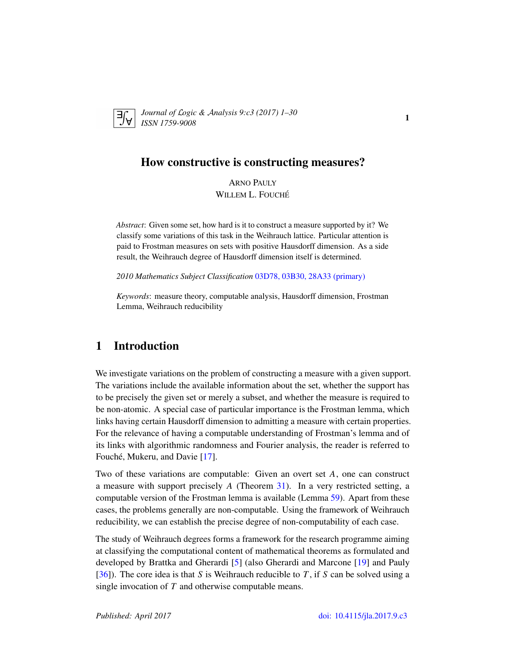

*Journal of* L*ogic &* A*nalysis 9:c3 (2017) 1–30 ISSN 1759-9008* 1

## How constructive is constructing measures?

ARNO PAULY WILLEM L. FOUCHÉ

*Abstract*: Given some set, how hard is it to construct a measure supported by it? We classify some variations of this task in the Weihrauch lattice. Particular attention is paid to Frostman measures on sets with positive Hausdorff dimension. As a side result, the Weihrauch degree of Hausdorff dimension itself is determined.

*2010 Mathematics Subject Classification* 03D78, 03B30, 28A33 (primary)

*Keywords*: measure theory, computable analysis, Hausdorff dimension, Frostman Lemma, Weihrauch reducibility

# 1 Introduction

We investigate variations on the problem of constructing a measure with a given support. The variations include the available information about the set, whether the support has to be precisely the given set or merely a subset, and whether the measure is required to be non-atomic. A special case of particular importance is the Frostman lemma, which links having certain Hausdorff dimension to admitting a measure with certain properties. For the relevance of having a computable understanding of Frostman's lemma and of its links with algorithmic randomness and Fourier analysis, the reader is referred to Fouché, Mukeru, and Davie [17].

Two of these variations are computable: Given an overt set *A*, one can construct a measure with support precisely *A* (Theorem 31). In a very restricted setting, a computable version of the Frostman lemma is available (Lemma 59). Apart from these cases, the problems generally are non-computable. Using the framework of Weihrauch reducibility, we can establish the precise degree of non-computability of each case.

The study of Weihrauch degrees forms a framework for the research programme aiming at classifying the computational content of mathematical theorems as formulated and developed by Brattka and Gherardi [5] (also Gherardi and Marcone [19] and Pauly [36]). The core idea is that *S* is Weihrauch reducible to *T* , if *S* can be solved using a single invocation of *T* and otherwise computable means.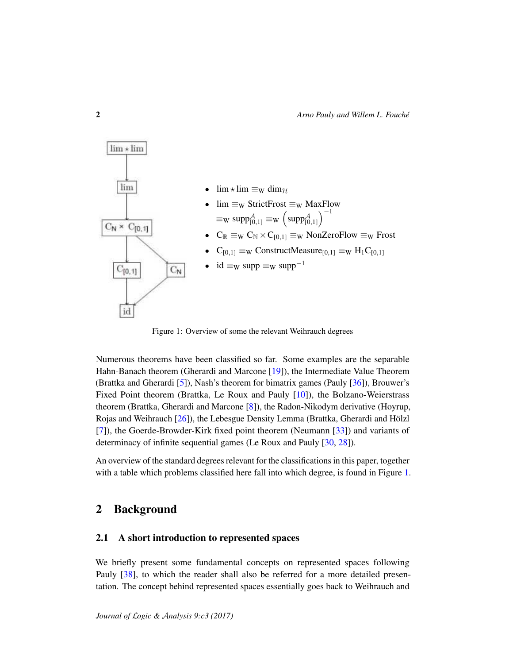

Figure 1: Overview of some the relevant Weihrauch degrees

Numerous theorems have been classified so far. Some examples are the separable Hahn-Banach theorem (Gherardi and Marcone [19]), the Intermediate Value Theorem (Brattka and Gherardi [5]), Nash's theorem for bimatrix games (Pauly [36]), Brouwer's Fixed Point theorem (Brattka, Le Roux and Pauly [10]), the Bolzano-Weierstrass theorem (Brattka, Gherardi and Marcone [8]), the Radon-Nikodym derivative (Hoyrup, Rojas and Weihrauch [26]), the Lebesgue Density Lemma (Brattka, Gherardi and Hölzl [7]), the Goerde-Browder-Kirk fixed point theorem (Neumann [33]) and variants of determinacy of infinite sequential games (Le Roux and Pauly [30, 28]).

An overview of the standard degrees relevant for the classifications in this paper, together with a table which problems classified here fall into which degree, is found in Figure 1.

# 2 Background

#### 2.1 A short introduction to represented spaces

We briefly present some fundamental concepts on represented spaces following Pauly [38], to which the reader shall also be referred for a more detailed presentation. The concept behind represented spaces essentially goes back to Weihrauch and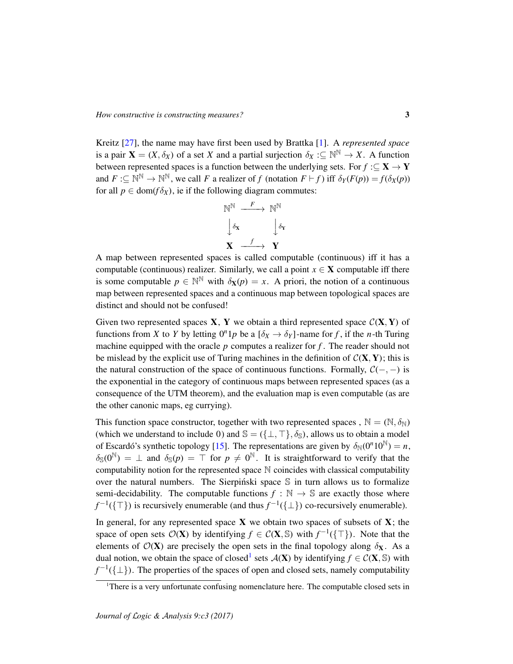Kreitz [27], the name may have first been used by Brattka [1]. A *represented space* is a pair  $X = (X, \delta_X)$  of a set *X* and a partial surjection  $\delta_X : \subseteq \mathbb{N}^{\mathbb{N}} \to X$ . A function between represented spaces is a function between the underlying sets. For  $f : \subseteq \mathbf{X} \to \mathbf{Y}$ and  $F: \subseteq \mathbb{N}^{\mathbb{N}} \to \mathbb{N}^{\mathbb{N}}$ , we call *F* a realizer of *f* (notation  $F \vdash f$ ) iff  $\delta_Y(F(p)) = f(\delta_X(p))$ for all  $p \in \text{dom}(f \delta_X)$ , ie if the following diagram commutes:

$$
\begin{array}{ccc}\n\mathbb{N}^{\mathbb{N}} & \xrightarrow{F} & \mathbb{N}^{\mathbb{N}} \\
\downarrow \delta_{\mathbf{X}} & & \downarrow \delta_{\mathbf{Y}} \\
\mathbf{X} & \xrightarrow{f} & \mathbf{Y}\n\end{array}
$$

A map between represented spaces is called computable (continuous) iff it has a computable (continuous) realizer. Similarly, we call a point  $x \in X$  computable iff there is some computable  $p \in \mathbb{N}^{\mathbb{N}}$  with  $\delta_{\mathbf{X}}(p) = x$ . A priori, the notion of a continuous map between represented spaces and a continuous map between topological spaces are distinct and should not be confused!

Given two represented spaces  $X$ ,  $Y$  we obtain a third represented space  $\mathcal{C}(X, Y)$  of functions from *X* to *Y* by letting  $0^n 1p$  be a  $[\delta_X \to \delta_Y]$ -name for *f*, if the *n*-th Turing machine equipped with the oracle  $p$  computes a realizer for  $f$ . The reader should not be mislead by the explicit use of Turing machines in the definition of  $C(X, Y)$ ; this is the natural construction of the space of continuous functions. Formally,  $C(-, -)$  is the exponential in the category of continuous maps between represented spaces (as a consequence of the UTM theorem), and the evaluation map is even computable (as are the other canonic maps, eg currying).

This function space constructor, together with two represented spaces,  $\mathbb{N} = (\mathbb{N}, \delta_{\mathbb{N}})$ (which we understand to include 0) and  $\mathbb{S} = (\{\perp, \top\}, \delta_{\mathbb{S}})$ , allows us to obtain a model of Escardó's synthetic topology [15]. The representations are given by  $\delta_N(0^n 10^N) = n$ ,  $\delta_{\mathbb{S}}(0^{\mathbb{N}}) = \bot$  and  $\delta_{\mathbb{S}}(p) = \top$  for  $p \neq 0^{\mathbb{N}}$ . It is straightforward to verify that the computability notion for the represented space N coincides with classical computability over the natural numbers. The Sierpinski space  $\mathcal S$  in turn allows us to formalize semi-decidability. The computable functions  $f : \mathbb{N} \to \mathbb{S}$  are exactly those where  $f^{-1}(\{\top\})$  is recursively enumerable (and thus  $f^{-1}(\{\bot\})$  co-recursively enumerable).

In general, for any represented space  $X$  we obtain two spaces of subsets of  $X$ ; the space of open sets  $\mathcal{O}(\mathbf{X})$  by identifying  $f \in \mathcal{C}(\mathbf{X}, \mathbb{S})$  with  $f^{-1}(\{\top\})$ . Note that the elements of  $\mathcal{O}(X)$  are precisely the open sets in the final topology along  $\delta_X$ . As a dual notion, we obtain the space of closed<sup>1</sup> sets  $\mathcal{A}(\mathbf{X})$  by identifying  $f \in \mathcal{C}(\mathbf{X}, \mathbb{S})$  with  $f^{-1}(\{\perp\})$ . The properties of the spaces of open and closed sets, namely computability

<sup>&</sup>lt;sup>1</sup>There is a very unfortunate confusing nomenclature here. The computable closed sets in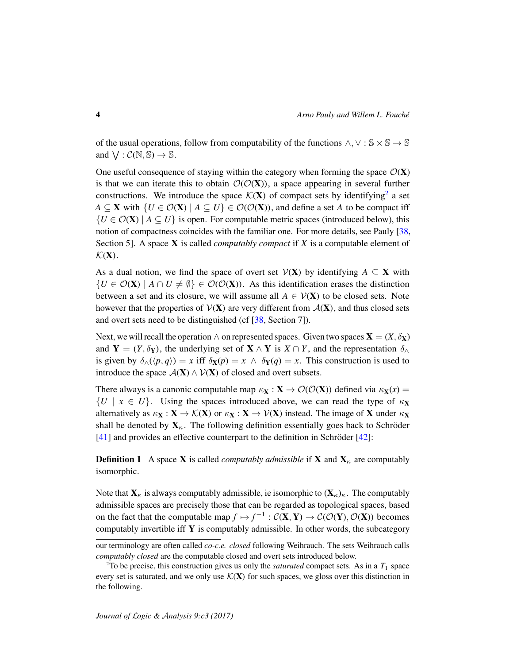of the usual operations, follow from computability of the functions  $\wedge$ ,  $\vee$  :  $\mathbb{S} \times \mathbb{S} \to \mathbb{S}$ and  $\bigvee : \mathcal{C}(\mathbb{N}, \mathbb{S}) \to \mathbb{S}$ .

One useful consequence of staying within the category when forming the space  $\mathcal{O}(\mathbf{X})$ is that we can iterate this to obtain  $\mathcal{O}(\mathcal{O}(X))$ , a space appearing in several further constructions. We introduce the space  $\mathcal{K}(\mathbf{X})$  of compact sets by identifying<sup>2</sup> a set *A* ⊆ **X** with  $\{U \in \mathcal{O}(\mathbf{X}) \mid A \subseteq U\}$  ∈  $\mathcal{O}(\mathcal{O}(\mathbf{X}))$ , and define a set *A* to be compact iff  ${U \in \mathcal{O}(\mathbf{X}) \mid A \subseteq U}$  is open. For computable metric spaces (introduced below), this notion of compactness coincides with the familiar one. For more details, see Pauly [38, Section 5]. A space X is called *computably compact* if *X* is a computable element of  $\mathcal{K}(\mathbf{X})$ .

As a dual notion, we find the space of overt set  $V(X)$  by identifying  $A \subseteq X$  with  ${U \in \mathcal{O}(\mathbf{X}) \mid A \cap U \neq \emptyset} \in \mathcal{O}(\mathcal{O}(\mathbf{X}))$ . As this identification erases the distinction between a set and its closure, we will assume all  $A \in \mathcal{V}(\mathbf{X})$  to be closed sets. Note however that the properties of  $V(X)$  are very different from  $A(X)$ , and thus closed sets and overt sets need to be distinguished (cf [38, Section 7]).

Next, we will recall the operation  $\wedge$  on represented spaces. Given two spaces  $\mathbf{X} = (X, \delta_X)$ and  $Y = (Y, \delta_Y)$ , the underlying set of  $X \wedge Y$  is  $X \cap Y$ , and the representation  $\delta_{\wedge}$ is given by  $\delta_{\Lambda}(\langle p, q \rangle) = x$  iff  $\delta_{\mathbf{X}}(p) = x \wedge \delta_{\mathbf{Y}}(q) = x$ . This construction is used to introduce the space  $\mathcal{A}(\mathbf{X}) \wedge \mathcal{V}(\mathbf{X})$  of closed and overt subsets.

There always is a canonic computable map  $\kappa_{\mathbf{X}} : \mathbf{X} \to \mathcal{O}(\mathcal{O}(\mathbf{X}))$  defined via  $\kappa_{\mathbf{X}}(x) =$  ${U \mid x \in U}$ . Using the spaces introduced above, we can read the type of  $\kappa$ **x** alternatively as  $\kappa_X : X \to \mathcal{K}(X)$  or  $\kappa_X : X \to \mathcal{V}(X)$  instead. The image of X under  $\kappa_X$ shall be denoted by  $X_{\kappa}$ . The following definition essentially goes back to Schröder  $[41]$  and provides an effective counterpart to the definition in Schröder  $[42]$ :

**Definition 1** A space **X** is called *computably admissible* if **X** and  $X_k$  are computably isomorphic.

Note that  $X_{\kappa}$  is always computably admissible, ie isomorphic to  $(X_{\kappa})_{\kappa}$ . The computably admissible spaces are precisely those that can be regarded as topological spaces, based on the fact that the computable map  $f \mapsto f^{-1} : C(X, Y) \to C(\mathcal{O}(Y), \mathcal{O}(X))$  becomes computably invertible iff  $Y$  is computably admissible. In other words, the subcategory

our terminology are often called *co-c.e. closed* following Weihrauch. The sets Weihrauch calls *computably closed* are the computable closed and overt sets introduced below.

 $2^2$ To be precise, this construction gives us only the *saturated* compact sets. As in a  $T_1$  space every set is saturated, and we only use  $\mathcal{K}(X)$  for such spaces, we gloss over this distinction in the following.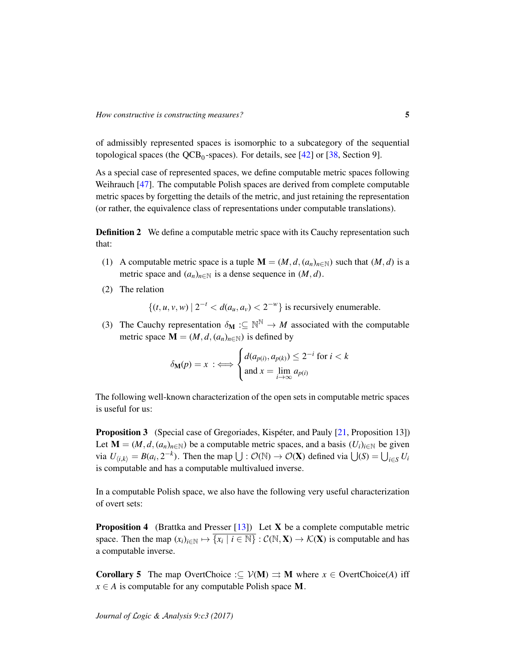of admissibly represented spaces is isomorphic to a subcategory of the sequential topological spaces (the  $QCB_0$ -spaces). For details, see [42] or [38, Section 9].

As a special case of represented spaces, we define computable metric spaces following Weihrauch [47]. The computable Polish spaces are derived from complete computable metric spaces by forgetting the details of the metric, and just retaining the representation (or rather, the equivalence class of representations under computable translations).

**Definition 2** We define a computable metric space with its Cauchy representation such that:

- (1) A computable metric space is a tuple  $\mathbf{M} = (M, d, (a_n)_{n \in \mathbb{N}})$  such that  $(M, d)$  is a metric space and  $(a_n)_{n \in \mathbb{N}}$  is a dense sequence in  $(M, d)$ .
- (2) The relation

 $\{(t, u, v, w) \mid 2^{-t} < d(a_u, a_v) < 2^{-w}\}\$ is recursively enumerable.

(3) The Cauchy representation  $\delta_{\mathbf{M}} : \subseteq \mathbb{N}^{\mathbb{N}} \to M$  associated with the computable metric space  $\mathbf{M} = (M, d, (a_n)_{n \in \mathbb{N}})$  is defined by

$$
\delta_{\mathbf{M}}(p) = x \; : \iff \begin{cases} d(a_{p(i)}, a_{p(k)}) \leq 2^{-i} \text{ for } i < k \\ \text{and } x = \lim_{i \to \infty} a_{p(i)} \end{cases}
$$

The following well-known characterization of the open sets in computable metric spaces is useful for us:

**Proposition 3** (Special case of Gregoriades, Kispeter, and Pauly  $[21,$  Proposition 13]) Let  $\mathbf{M} = (M, d, (a_n)_{n \in \mathbb{N}})$  be a computable metric spaces, and a basis  $(U_i)_{i \in \mathbb{N}}$  be given via  $U_{\langle i,k \rangle} = B(a_i, 2^{-k})$ . Then the map  $\bigcup : \mathcal{O}(\mathbb{N}) \to \mathcal{O}(\mathbf{X})$  defined via  $\bigcup(S) = \bigcup_{i \in S} U_i$ is computable and has a computable multivalued inverse.

In a computable Polish space, we also have the following very useful characterization of overt sets:

**Proposition 4** (Brattka and Presser [13]) Let **X** be a complete computable metric space. Then the map  $(x_i)_{i \in \mathbb{N}} \mapsto \overline{\{x_i \mid i \in \mathbb{N}\}} : C(\mathbb{N}, \mathbf{X}) \to C(\mathbf{X})$  is computable and has a computable inverse.

**Corollary 5** The map OvertChoice : $\subset \mathcal{V}(\mathbf{M}) \Rightarrow \mathbf{M}$  where  $x \in \text{OvertChoice}(A)$  iff  $x \in A$  is computable for any computable Polish space **M**.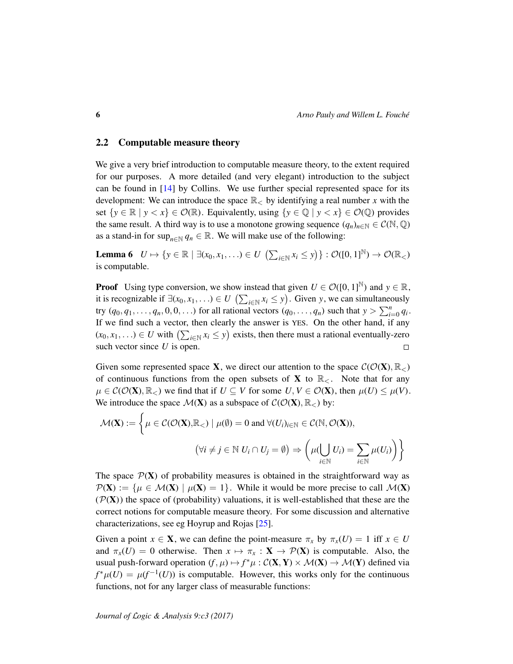#### 2.2 Computable measure theory

We give a very brief introduction to computable measure theory, to the extent required for our purposes. A more detailed (and very elegant) introduction to the subject can be found in [14] by Collins. We use further special represented space for its development: We can introduce the space  $\mathbb{R}_<$  by identifying a real number x with the set  $\{y \in \mathbb{R} \mid y < x\} \in \mathcal{O}(\mathbb{R})$ . Equivalently, using  $\{y \in \mathbb{Q} \mid y < x\} \in \mathcal{O}(\mathbb{Q})$  provides the same result. A third way is to use a monotone growing sequence  $(q_n)_{n \in \mathbb{N}} \in C(\mathbb{N}, \mathbb{Q})$ as a stand-in for sup<sub>*n*∈N</sub>  $q_n \in \mathbb{R}$ . We will make use of the following:

**Lemma 6**  $U \mapsto \{y \in \mathbb{R} \mid \exists (x_0, x_1, \ldots) \in U \mid (\sum_{i \in \mathbb{N}} x_i \leq y) \} : \mathcal{O}([0, 1]^{\mathbb{N}}) \to \mathcal{O}(\mathbb{R}_{<})$ is computable.

**Proof** Using type conversion, we show instead that given  $U \in \mathcal{O}([0,1]^N)$  and  $y \in \mathbb{R}$ , it is recognizable if  $\exists (x_0, x_1, \ldots) \in U$  ( $\sum_{i \in \mathbb{N}} x_i \leq y$ ). Given *y*, we can simultaneously try  $(q_0, q_1, \ldots, q_n, 0, 0, \ldots)$  for all rational vectors  $(q_0, \ldots, q_n)$  such that  $y > \sum_{i=0}^n q_i$ . If we find such a vector, then clearly the answer is YES. On the other hand, if any  $(x_0, x_1, \ldots) \in U$  with  $\left(\sum_{i \in \mathbb{N}} x_i \leq y\right)$  exists, then there must a rational eventually-zero such vector since *U* is open.  $\Box$ 

Given some represented space **X**, we direct our attention to the space  $\mathcal{C}(\mathcal{O}(\mathbf{X}), \mathbb{R}_{\leq})$ of continuous functions from the open subsets of **X** to  $\mathbb{R}_{\leq}$ . Note that for any  $\mu \in \mathcal{C}(\mathcal{O}(\mathbf{X}), \mathbb{R}_{\leq})$  we find that if  $U \subseteq V$  for some  $U, V \in \mathcal{O}(\mathbf{X})$ , then  $\mu(U) \leq \mu(V)$ . We introduce the space  $\mathcal{M}(\mathbf{X})$  as a subspace of  $\mathcal{C}(\mathcal{O}(\mathbf{X}), \mathbb{R}_{\leq})$  by:

$$
\mathcal{M}(\mathbf{X}) := \left\{ \mu \in \mathcal{C}(\mathcal{O}(\mathbf{X}), \mathbb{R}_{<} ) \mid \mu(\emptyset) = 0 \text{ and } \forall (U_i)_{i \in \mathbb{N}} \in \mathcal{C}(\mathbb{N}, \mathcal{O}(\mathbf{X})), \n(\forall i \neq j \in \mathbb{N} \ U_i \cap U_j = \emptyset) \Rightarrow \left( \mu(\bigcup_{i \in \mathbb{N}} U_i) = \sum_{i \in \mathbb{N}} \mu(U_i) \right) \right\}
$$

The space  $\mathcal{P}(X)$  of probability measures is obtained in the straightforward way as  $P(X) := \{ \mu \in \mathcal{M}(X) \mid \mu(X) = 1 \}.$  While it would be more precise to call  $\mathcal{M}(X)$  $(\mathcal{P}(\mathbf{X}))$  the space of (probability) valuations, it is well-established that these are the correct notions for computable measure theory. For some discussion and alternative characterizations, see eg Hoyrup and Rojas [25].

Given a point  $x \in \mathbf{X}$ , we can define the point-measure  $\pi_x$  by  $\pi_x(U) = 1$  iff  $x \in U$ and  $\pi_x(U) = 0$  otherwise. Then  $x \mapsto \pi_x : \mathbf{X} \to \mathcal{P}(\mathbf{X})$  is computable. Also, the usual push-forward operation  $(f, \mu) \mapsto f^* \mu : C(X, Y) \times \mathcal{M}(X) \to \mathcal{M}(Y)$  defined via  $f^*\mu(U) = \mu(f^{-1}(U))$  is computable. However, this works only for the continuous functions, not for any larger class of measurable functions: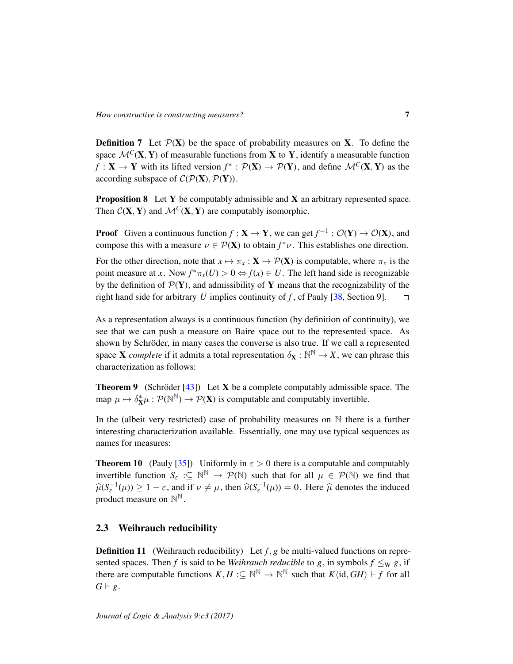**Definition 7** Let  $\mathcal{P}(X)$  be the space of probability measures on X. To define the space  $\mathcal{M}^C(\mathbf{X}, \mathbf{Y})$  of measurable functions from **X** to **Y**, identify a measurable function *f* : **X**  $\rightarrow$  **Y** with its lifted version  $f^*$  :  $\mathcal{P}(\mathbf{X}) \rightarrow \mathcal{P}(\mathbf{Y})$ , and define  $\mathcal{M}^C(\mathbf{X}, \mathbf{Y})$  as the according subspace of  $C(\mathcal{P}(\mathbf{X}), \mathcal{P}(\mathbf{Y})).$ 

**Proposition 8** Let  $Y$  be computably admissible and  $X$  an arbitrary represented space. Then  $C(X, Y)$  and  $\mathcal{M}^C(X, Y)$  are computably isomorphic.

**Proof** Given a continuous function  $f: \mathbf{X} \to \mathbf{Y}$ , we can get  $f^{-1}: \mathcal{O}(\mathbf{Y}) \to \mathcal{O}(\mathbf{X})$ , and compose this with a measure  $\nu \in \mathcal{P}(\mathbf{X})$  to obtain  $f^*\nu$ . This establishes one direction. For the other direction, note that  $x \mapsto \pi_x : \mathbf{X} \to \mathcal{P}(\mathbf{X})$  is computable, where  $\pi_x$  is the point measure at *x*. Now  $f^*\pi_x(U) > 0 \Leftrightarrow f(x) \in U$ . The left hand side is recognizable by the definition of  $\mathcal{P}(Y)$ , and admissibility of Y means that the recognizability of the right hand side for arbitrary *U* implies continuity of *f* , cf Pauly [38, Section 9].  $\Box$ 

As a representation always is a continuous function (by definition of continuity), we see that we can push a measure on Baire space out to the represented space. As shown by Schröder, in many cases the converse is also true. If we call a represented space **X** *complete* if it admits a total representation  $\delta_{\mathbf{X}} : \mathbb{N}^{\mathbb{N}} \to X$ , we can phrase this characterization as follows:

**Theorem 9** (Schröder  $[43]$ ) Let **X** be a complete computably admissible space. The map  $\mu \mapsto \delta_{\mathbf{X}}^*\mu : \mathcal{P}(\mathbb{N}^{\mathbb{N}}) \to \mathcal{P}(\mathbf{X})$  is computable and computably invertible.

In the (albeit very restricted) case of probability measures on N there is a further interesting characterization available. Essentially, one may use typical sequences as names for measures:

**Theorem 10** (Pauly [35]) Uniformly in  $\varepsilon > 0$  there is a computable and computably invertible function  $S_{\varepsilon}$  : $\subseteq \mathbb{N}^{\mathbb{N}} \to \mathcal{P}(\mathbb{N})$  such that for all  $\mu \in \mathcal{P}(\mathbb{N})$  we find that  $\hat{\mu}(S_{\varepsilon}^{-1}(\mu)) \ge 1 - \varepsilon$ , and if  $\nu \ne \mu$ , then  $\hat{\nu}(S_{\varepsilon}^{-1}(\mu)) = 0$ . Here  $\hat{\mu}$  denotes the induced product measure on  $\mathbb{N}^{\mathbb{N}}$ .

## 2.3 Weihrauch reducibility

**Definition 11** (Weihrauch reducibility) Let  $f$ ,  $g$  be multi-valued functions on represented spaces. Then *f* is said to be *Weihrauch reducible* to *g*, in symbols  $f \leq_W g$ , if there are computable functions  $K, H \text{ := } \mathbb{N}^{\mathbb{N}} \to \mathbb{N}^{\mathbb{N}}$  such that  $K\langle id, GH \rangle \vdash f$  for all  $G \vdash g$ .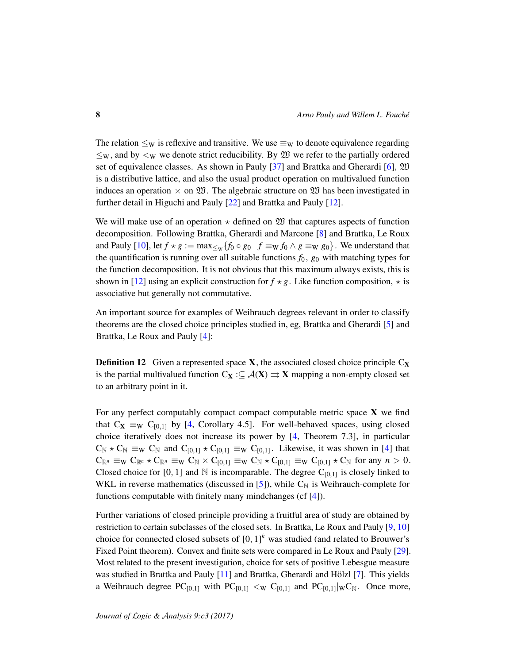The relation  $\leq_W$  is reflexive and transitive. We use  $\equiv_W$  to denote equivalence regarding  $\leq_W$ , and by  $\leq_W$  we denote strict reducibility. By  $\mathfrak W$  we refer to the partially ordered set of equivalence classes. As shown in Pauly [37] and Brattka and Gherardi [6],  $\mathfrak W$ is a distributive lattice, and also the usual product operation on multivalued function induces an operation  $\times$  on  $\mathfrak{W}$ . The algebraic structure on  $\mathfrak{W}$  has been investigated in further detail in Higuchi and Pauly [22] and Brattka and Pauly [12].

We will make use of an operation  $\star$  defined on  $\mathfrak W$  that captures aspects of function decomposition. Following Brattka, Gherardi and Marcone [8] and Brattka, Le Roux and Pauly [10], let  $f \star g := \max_{\leq w} \{f_0 \circ g_0 \mid f \equiv_{W} f_0 \wedge g \equiv_{W} g_0\}$ . We understand that the quantification is running over all suitable functions  $f_0$ ,  $g_0$  with matching types for the function decomposition. It is not obvious that this maximum always exists, this is shown in [12] using an explicit construction for  $f \star g$ . Like function composition,  $\star$  is associative but generally not commutative.

An important source for examples of Weihrauch degrees relevant in order to classify theorems are the closed choice principles studied in, eg, Brattka and Gherardi [5] and Brattka, Le Roux and Pauly [4]:

**Definition 12** Given a represented space **X**, the associated closed choice principle  $C_X$ is the partial multivalued function  $C_X : \subseteq \mathcal{A}(X) \rightrightarrows X$  mapping a non-empty closed set to an arbitrary point in it.

For any perfect computably compact compact computable metric space  $X$  we find that  $C_X \equiv_W C_{[0,1]}$  by [4, Corollary 4.5]. For well-behaved spaces, using closed choice iteratively does not increase its power by [4, Theorem 7.3], in particular  $C_N \star C_N \equiv_W C_N$  and  $C_{[0,1]} \star C_{[0,1]} \equiv_W C_{[0,1]}$ . Likewise, it was shown in [4] that  $C_{\mathbb{R}^n} \equiv_{\mathbf{W}} C_{\mathbb{R}^n} \star C_{\mathbb{R}^n} \equiv_{\mathbf{W}} C_{\mathbb{N}} \times C_{[0,1]} \equiv_{\mathbf{W}} C_{\mathbb{N}} \star C_{[0,1]} \equiv_{\mathbf{W}} C_{[0,1]} \star C_{\mathbb{N}}$  for any  $n > 0$ . Closed choice for [0, 1] and  $\mathbb N$  is incomparable. The degree  $C_{[0,1]}$  is closely linked to WKL in reverse mathematics (discussed in [5]), while  $C_N$  is Weihrauch-complete for functions computable with finitely many mindchanges (cf [4]).

Further variations of closed principle providing a fruitful area of study are obtained by restriction to certain subclasses of the closed sets. In Brattka, Le Roux and Pauly [9, 10] choice for connected closed subsets of  $[0, 1]^k$  was studied (and related to Brouwer's Fixed Point theorem). Convex and finite sets were compared in Le Roux and Pauly [29]. Most related to the present investigation, choice for sets of positive Lebesgue measure was studied in Brattka and Pauly  $[11]$  and Brattka, Gherardi and Hölzl  $[7]$ . This yields a Weihrauch degree  $PC_{[0,1]}$  with  $PC_{[0,1]} <_{W} C_{[0,1]}$  and  $PC_{[0,1]} \vert_W C_N$ . Once more,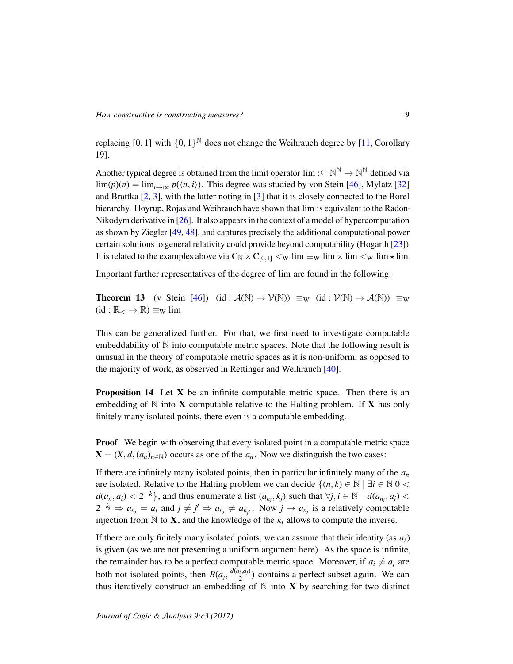replacing [0, 1] with  $\{0, 1\}^{\mathbb{N}}$  does not change the Weihrauch degree by [11, Corollary 19].

Another typical degree is obtained from the limit operator  $\lim : \subseteq \mathbb{N}^{\mathbb{N}} \to \mathbb{N}^{\mathbb{N}}$  defined via  $\lim(p)(n) = \lim_{i \to \infty} p(\langle n, i \rangle)$ . This degree was studied by von Stein [46], Mylatz [32] and Brattka [2, 3], with the latter noting in [3] that it is closely connected to the Borel hierarchy. Hoyrup, Rojas and Weihrauch have shown that lim is equivalent to the Radon-Nikodym derivative in [26]. It also appears in the context of a model of hypercomputation as shown by Ziegler [49, 48], and captures precisely the additional computational power certain solutions to general relativity could provide beyond computability (Hogarth [23]). It is related to the examples above via  $C_N \times C_{[0,1]} <_W \lim \equiv_W \lim \times \lim \times_W \lim \neq \lim$ .

Important further representatives of the degree of lim are found in the following:

**Theorem 13** (v Stein [46]) (id :  $\mathcal{A}(\mathbb{N}) \to \mathcal{V}(\mathbb{N})$ )  $\equiv_W$  (id :  $\mathcal{V}(\mathbb{N}) \to \mathcal{A}(\mathbb{N})$ )  $\equiv_W$  $(id : \mathbb{R}_{<} \to \mathbb{R}) \equiv_{\mathrm{W}} \lim$ 

This can be generalized further. For that, we first need to investigate computable embeddability of  $\mathbb N$  into computable metric spaces. Note that the following result is unusual in the theory of computable metric spaces as it is non-uniform, as opposed to the majority of work, as observed in Rettinger and Weihrauch [40].

**Proposition 14** Let  $X$  be an infinite computable metric space. Then there is an embedding of  $\mathbb N$  into **X** computable relative to the Halting problem. If **X** has only finitely many isolated points, there even is a computable embedding.

**Proof** We begin with observing that every isolated point in a computable metric space  $X = (X, d, (a_n)_{n \in \mathbb{N}})$  occurs as one of the  $a_n$ . Now we distinguish the two cases:

If there are infinitely many isolated points, then in particular infinitely many of the *a<sup>n</sup>* are isolated. Relative to the Halting problem we can decide  $\{(n, k) \in \mathbb{N} \mid \exists i \in \mathbb{N} \mid 0 \leq k \leq n\}$ *d*( $a_n$ ,  $a_i$ ) < 2<sup>−*k*</sup>}, and thus enumerate a list  $(a_{n_j}, k_j)$  such that  $\forall j, i \in \mathbb{N}$  *d*( $a_{n_j}, a_i$ ) <  $2^{-k_j} \Rightarrow a_{n_j} = a_i$  and  $j \neq j' \Rightarrow a_{n_j} \neq a_{n_{j'}}$ . Now  $j \mapsto a_{n_j}$  is a relatively computable injection from  $\mathbb N$  to **X**, and the knowledge of the  $k_j$  allows to compute the inverse.

If there are only finitely many isolated points, we can assume that their identity (as  $a_i$ ) is given (as we are not presenting a uniform argument here). As the space is infinite, the remainder has to be a perfect computable metric space. Moreover, if  $a_i \neq a_j$  are both not isolated points, then  $B(a_j, \frac{d(a_i, a_j)}{2})$  $\frac{2^{(i)}(u)}{2}$  contains a perfect subset again. We can thus iteratively construct an embedding of  $N$  into  $X$  by searching for two distinct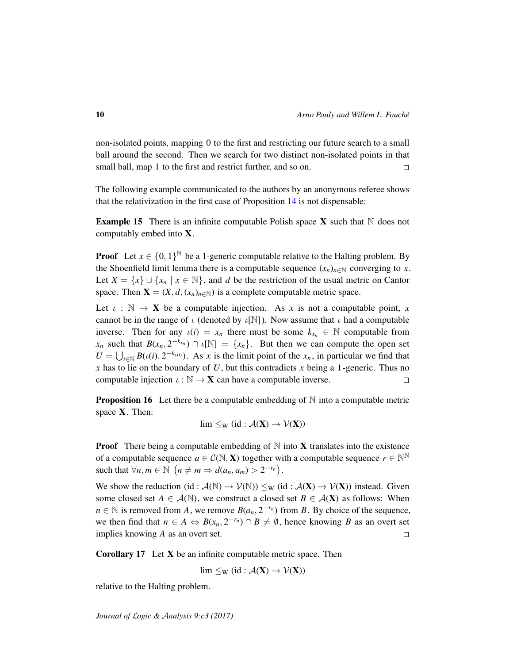non-isolated points, mapping 0 to the first and restricting our future search to a small ball around the second. Then we search for two distinct non-isolated points in that small ball, map 1 to the first and restrict further, and so on.  $\Box$ 

The following example communicated to the authors by an anonymous referee shows that the relativization in the first case of Proposition 14 is not dispensable:

**Example 15** There is an infinite computable Polish space  $X$  such that  $N$  does not computably embed into X.

**Proof** Let  $x \in \{0, 1\}^{\mathbb{N}}$  be a 1-generic computable relative to the Halting problem. By the Shoenfield limit lemma there is a computable sequence  $(x_n)_{n \in \mathbb{N}}$  converging to *x*. Let  $X = \{x\} \cup \{x_n \mid x \in \mathbb{N}\}\$ , and *d* be the restriction of the usual metric on Cantor space. Then  $X = (X, d, (x_n)_{n \in \mathbb{N}})$  is a complete computable metric space.

Let  $\iota : \mathbb{N} \to \mathbf{X}$  be a computable injection. As *x* is not a computable point, *x* cannot be in the range of  $\iota$  (denoted by  $\iota[\mathbb{N}]$ ). Now assume that  $\iota$  had a computable inverse. Then for any  $u(i) = x_n$  there must be some  $k_{x_n} \in \mathbb{N}$  computable from *x<sub>n</sub>* such that  $B(x_n, 2^{-k_{x_n}}) \cap \iota[\mathbb{N}] = \{x_n\}$ . But then we can compute the open set  $U = \bigcup_{i \in \mathbb{N}} B(t(i), 2^{-k_{\iota(i)}})$ . As *x* is the limit point of the *x<sub>n</sub>*, in particular we find that  *has to lie on the boundary of*  $*U*$ *, but this contradicts*  $*x*$  *being a 1-generic. Thus no* computable injection  $\iota : \mathbb{N} \to \mathbf{X}$  can have a computable inverse.  $\Box$ 

**Proposition 16** Let there be a computable embedding of  $\mathbb N$  into a computable metric space X. Then:

$$
\lim \leq_W (id : \mathcal{A}(X) \to \mathcal{V}(X))
$$

**Proof** There being a computable embedding of  $N$  into **X** translates into the existence of a computable sequence  $a \in C(\mathbb{N}, \mathbf{X})$  together with a computable sequence  $r \in \mathbb{N}^{\mathbb{N}}$ such that  $\forall n, m \in \mathbb{N} \ (n \neq m \Rightarrow d(a_n, a_m) > 2^{-r_n}).$ 

We show the reduction (id :  $\mathcal{A}(\mathbb{N}) \to \mathcal{V}(\mathbb{N})$ )  $\leq_W$  (id :  $\mathcal{A}(\mathbf{X}) \to \mathcal{V}(\mathbf{X})$ ) instead. Given some closed set  $A \in \mathcal{A}(\mathbb{N})$ , we construct a closed set  $B \in \mathcal{A}(\mathbf{X})$  as follows: When *n* ∈ N is removed from *A*, we remove  $B(a_n, 2^{-r_n})$  from *B*. By choice of the sequence, we then find that  $n \in A \Leftrightarrow B(x_n, 2^{-r_n}) \cap B \neq \emptyset$ , hence knowing *B* as an overt set implies knowing *A* as an overt set.  $\Box$ 

Corollary 17 Let X be an infinite computable metric space. Then

$$
lim \leq_W (id : \mathcal{A}(X) \to \mathcal{V}(X))
$$

relative to the Halting problem.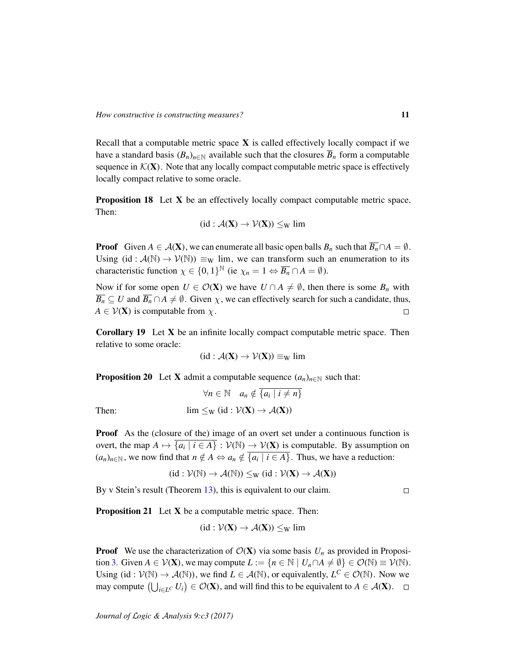Recall that a computable metric space  $X$  is called effectively locally compact if we have a standard basis  $(B_n)_{n \in \mathbb{N}}$  available such that the closures  $\overline{B}_n$  form a computable sequence in  $\mathcal{K}(\mathbf{X})$ . Note that any locally compact computable metric space is effectively locally compact relative to some oracle.

Proposition 18 Let X be an effectively locally compact computable metric space. Then:

$$
(id: \mathcal{A}(\mathbf{X}) \to \mathcal{V}(\mathbf{X})) \leq_W lim
$$

**Proof** Given  $A \in \mathcal{A}(\mathbf{X})$ , we can enumerate all basic open balls  $B_n$  such that  $\overline{B_n} \cap A = \emptyset$ . Using  $(id : \mathcal{A}(\mathbb{N}) \to \mathcal{V}(\mathbb{N})) \equiv_W \lim$ , we can transform such an enumeration to its characteristic function  $\chi \in \{0,1\}^{\mathbb{N}}$  (ie  $\chi_n = 1 \Leftrightarrow \overline{B_n} \cap A = \emptyset$ ).

Now if for some open  $U \in \mathcal{O}(\mathbf{X})$  we have  $U \cap A \neq \emptyset$ , then there is some  $B_n$  with  $\overline{B_n} \subseteq U$  and  $\overline{B_n} \cap A \neq \emptyset$ . Given  $\chi$ , we can effectively search for such a candidate, thus,  $A \in V(X)$  is computable from  $\chi$ .  $\Box$ 

**Corollary 19** Let  $X$  be an infinite locally compact computable metric space. Then relative to some oracle:

$$
(\mathrm{id} : \mathcal{A}(\mathbf{X}) \to \mathcal{V}(\mathbf{X})) \equiv_W \lim
$$

**Proposition 20** Let **X** admit a computable sequence  $(a_n)_{n \in \mathbb{N}}$  such that:

$$
\forall n \in \mathbb{N} \quad a_n \notin \overline{\{a_i \mid i \neq n\}}
$$
  
Then:  

$$
\lim \leq_W (\text{id}: \mathcal{V}(\mathbf{X}) \to \mathcal{A}(\mathbf{X}))
$$

Proof As the (closure of the) image of an overt set under a continuous function is overt, the map  $A \mapsto \overline{\{a_i \mid i \in A\}} : \mathcal{V}(\mathbb{N}) \to \mathcal{V}(\mathbf{X})$  is computable. By assumption on  $(a_n)_{n \in \mathbb{N}}$ , we now find that  $n \notin A \Leftrightarrow a_n \notin \{a_i \mid i \in A\}$ . Thus, we have a reduction:

$$
(id: \mathcal{V}(\mathbb{N}) \to \mathcal{A}(\mathbb{N})) \leq_W (id: \mathcal{V}(\bm{X}) \to \mathcal{A}(\bm{X}))
$$

By v Stein's result (Theorem 13), this is equivalent to our claim.

Proposition 21 Let X be a computable metric space. Then:

$$
(\mathrm{id} : \mathcal{V}(\mathbf{X}) \to \mathcal{A}(\mathbf{X})) \leq_W \lim
$$

**Proof** We use the characterization of  $\mathcal{O}(\mathbf{X})$  via some basis  $U_n$  as provided in Proposition 3. Given  $A \in V(\mathbf{X})$ , we may compute  $L := \{ n \in \mathbb{N} \mid U_n \cap A \neq \emptyset \} \in \mathcal{O}(\mathbb{N}) \equiv V(\mathbb{N})$ . Using (id:  $V(\mathbb{N}) \to \mathcal{A}(\mathbb{N})$ ), we find  $L \in \mathcal{A}(\mathbb{N})$ , or equivalently,  $L^C \in \mathcal{O}(\mathbb{N})$ . Now we may compute  $(\bigcup_{i \in L^C} U_i) \in \mathcal{O}(\mathbf{X})$ , and will find this to be equivalent to  $A \in \mathcal{A}(\mathbf{X})$ .

 $\Box$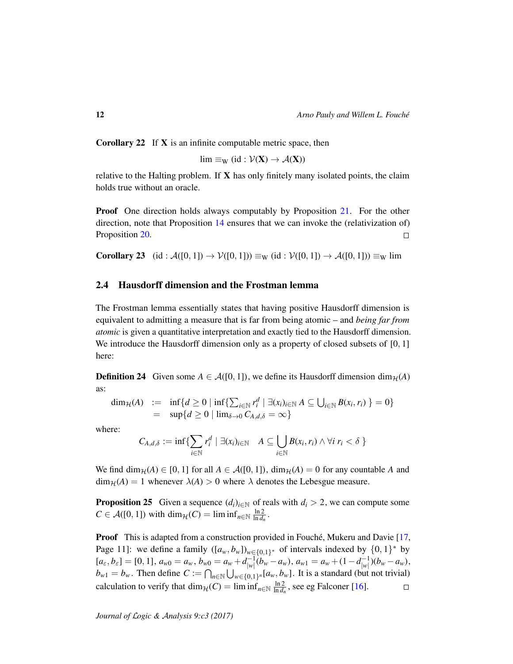Corollary 22 If X is an infinite computable metric space, then

 $\lim \equiv_W (\text{id} : \mathcal{V}(\mathbf{X}) \to \mathcal{A}(\mathbf{X}))$ 

relative to the Halting problem. If  $X$  has only finitely many isolated points, the claim holds true without an oracle.

**Proof** One direction holds always computably by Proposition 21. For the other direction, note that Proposition 14 ensures that we can invoke the (relativization of) Proposition 20.  $\Box$ 

**Corollary 23** (id :  $\mathcal{A}([0, 1]) \rightarrow \mathcal{V}([0, 1]) \equiv_{\mathbf{W}} (\text{id} : \mathcal{V}([0, 1]) \rightarrow \mathcal{A}([0, 1])) \equiv_{\mathbf{W}} \text{lim}$ 

## 2.4 Hausdorff dimension and the Frostman lemma

The Frostman lemma essentially states that having positive Hausdorff dimension is equivalent to admitting a measure that is far from being atomic – and *being far from atomic* is given a quantitative interpretation and exactly tied to the Hausdorff dimension. We introduce the Hausdorff dimension only as a property of closed subsets of  $[0, 1]$ here:

**Definition 24** Given some  $A \in \mathcal{A}([0,1])$ , we define its Hausdorff dimension  $\dim_{\mathcal{H}}(A)$ as:

$$
\dim_{\mathcal{H}}(A) := \inf \{ d \ge 0 \mid \inf \{ \sum_{i \in \mathbb{N}} r_i^d \mid \exists (x_i)_{i \in \mathbb{N}} A \subseteq \bigcup_{i \in \mathbb{N}} B(x_i, r_i) \} = 0 \} = \sup \{ d \ge 0 \mid \lim_{\delta \to 0} C_{A,d,\delta} = \infty \}
$$

where:

$$
C_{A,d,\delta} := \inf \{ \sum_{i \in \mathbb{N}} r_i^d \mid \exists (x_i)_{i \in \mathbb{N}} \quad A \subseteq \bigcup_{i \in \mathbb{N}} B(x_i,r_i) \wedge \forall i \ r_i < \delta \}
$$

We find  $\dim_{\mathcal{H}}(A) \in [0, 1]$  for all  $A \in \mathcal{A}([0, 1])$ ,  $\dim_{\mathcal{H}}(A) = 0$  for any countable A and  $\dim_{\mathcal{H}}(A) = 1$  whenever  $\lambda(A) > 0$  where  $\lambda$  denotes the Lebesgue measure.

**Proposition 25** Given a sequence  $(d_i)_{i \in \mathbb{N}}$  of reals with  $d_i > 2$ , we can compute some  $C \in \mathcal{A}([0, 1])$  with  $\dim_{\mathcal{H}}(C) = \liminf_{n \in \mathbb{N}} \frac{\ln 2}{\ln d_n}$ .

**Proof** This is adapted from a construction provided in Fouché, Mukeru and Davie [17, Page 11]: we define a family  $([a_w, b_w])_{w \in \{0,1\}^*}$  of intervals indexed by  $\{0,1\}^*$  by  $[a_{\varepsilon}, b_{\varepsilon}] = [0, 1], a_{w0} = a_w, b_{w0} = a_w + d_{|w|}^{-1}$  $\binom{-1}{|w|} (b_w - a_w), a_{w1} = a_w + (1 - d_{|w|}^{-1})$  $\frac{(-1)}{|w|}$  $(b_w - a_w)$ ,  $b_{w1} = b_w$ . Then define  $C := \bigcap_{n \in \mathbb{N}} \bigcup_{w \in \{0,1\}^n} [a_w, b_w]$ . It is a standard (but not trivial) calculation to verify that  $\dim_{\mathcal{H}}(C) = \liminf_{n \in \mathbb{N}} \frac{\ln 2}{\ln d_n}$ , see eg Falconer [16].  $\Box$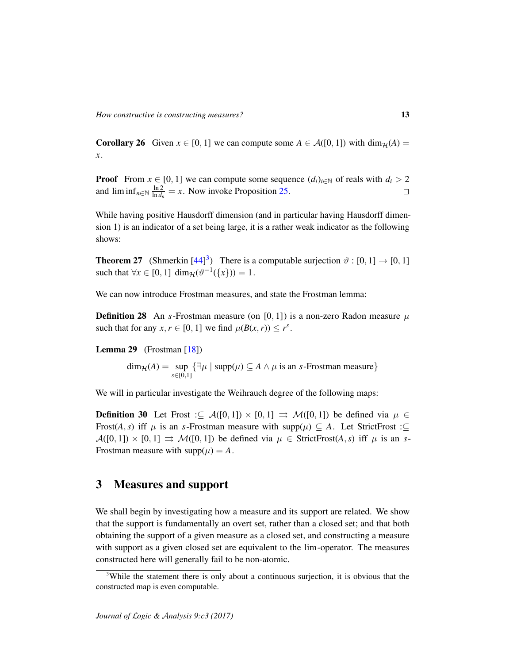**Corollary 26** Given  $x \in [0, 1]$  we can compute some  $A \in \mathcal{A}([0, 1])$  with  $\dim_{\mathcal{H}}(A) =$ *x*.

**Proof** From  $x \in [0, 1]$  we can compute some sequence  $(d_i)_{i \in \mathbb{N}}$  of reals with  $d_i > 2$ and  $\liminf_{n \in \mathbb{N}} \frac{\ln 2}{\ln d_n} = x$ . Now invoke Proposition 25.  $\Box$ 

While having positive Hausdorff dimension (and in particular having Hausdorff dimension 1) is an indicator of a set being large, it is a rather weak indicator as the following shows:

**Theorem 27** (Shmerkin  $[44]^{3}$ ) There is a computable surjection  $\vartheta : [0, 1] \rightarrow [0, 1]$ such that  $\forall x \in [0, 1]$  dim $\mathcal{H}(\vartheta^{-1}(\{x\})) = 1$ .

We can now introduce Frostman measures, and state the Frostman lemma:

**Definition 28** An *s*-Frostman measure (on [0, 1]) is a non-zero Radon measure  $\mu$ such that for any  $x, r \in [0, 1]$  we find  $\mu(B(x, r)) \leq r^s$ .

**Lemma 29** (Frostman  $[18]$ )

 $dim_{\mathcal{H}}(A) = \text{sup}$ *s*∈[0,1]  $\{\exists \mu \mid \text{supp}(\mu) \subseteq A \land \mu \text{ is an } s\text{-Frostman measure}\}$ 

We will in particular investigate the Weihrauch degree of the following maps:

**Definition 30** Let Frost : $\subseteq A([0,1]) \times [0,1] \implies M([0,1])$  be defined via  $\mu \in$ Frost(*A*, *s*) iff  $\mu$  is an *s*-Frostman measure with supp( $\mu$ )  $\subseteq$  *A*. Let StrictFrost : $\subseteq$  $\mathcal{A}([0,1]) \times [0,1] \implies \mathcal{M}([0,1])$  be defined via  $\mu \in \text{StrictFrost}(A,s)$  iff  $\mu$  is an *s*-Frostman measure with  $supp(\mu) = A$ .

## 3 Measures and support

We shall begin by investigating how a measure and its support are related. We show that the support is fundamentally an overt set, rather than a closed set; and that both obtaining the support of a given measure as a closed set, and constructing a measure with support as a given closed set are equivalent to the lim-operator. The measures constructed here will generally fail to be non-atomic.

<sup>&</sup>lt;sup>3</sup>While the statement there is only about a continuous surjection, it is obvious that the constructed map is even computable.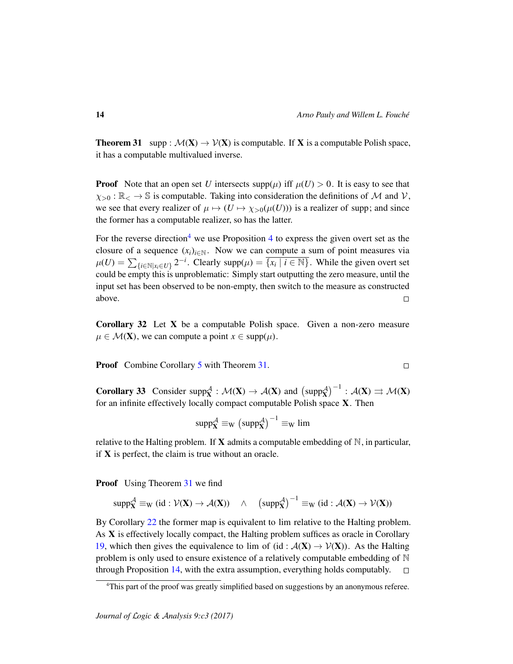**Theorem 31** supp :  $\mathcal{M}(\mathbf{X}) \to \mathcal{V}(\mathbf{X})$  is computable. If **X** is a computable Polish space, it has a computable multivalued inverse.

**Proof** Note that an open set *U* intersects supp( $\mu$ ) iff  $\mu(U) > 0$ . It is easy to see that  $\chi_{>0} : \mathbb{R} \to \mathbb{S}$  is computable. Taking into consideration the definitions of M and V, we see that every realizer of  $\mu \mapsto (U \mapsto \chi_{>0}(\mu(U)))$  is a realizer of supp; and since the former has a computable realizer, so has the latter.

For the reverse direction<sup>4</sup> we use Proposition 4 to express the given overt set as the closure of a sequence  $(x_i)_{i \in \mathbb{N}}$ . Now we can compute a sum of point measures via  $\mu(U) = \sum_{\{i \in \mathbb{N} | x_i \in U\}} 2^{-i}$ . Clearly supp $(\mu) = \overline{\{x_i \mid i \in \mathbb{N}\}}$ . While the given overt set could be empty this is unproblematic: Simply start outputting the zero measure, until the input set has been observed to be non-empty, then switch to the measure as constructed above.  $\Box$ 

Corollary 32 Let X be a computable Polish space. Given a non-zero measure  $\mu \in \mathcal{M}(\mathbf{X})$ , we can compute a point  $x \in \text{supp}(\mu)$ .

**Proof** Combine Corollary 5 with Theorem 31.

**Corollary 33** Consider supp $_{\mathbf{X}}^{\mathcal{A}}$ :  $\mathcal{M}(\mathbf{X}) \to \mathcal{A}(\mathbf{X})$  and  $(\text{supp}_{\mathbf{X}}^{\mathcal{A}})^{-1}$ :  $\mathcal{A}(\mathbf{X}) \rightrightarrows \mathcal{M}(\mathbf{X})$ for an infinite effectively locally compact computable Polish space  $X$ . Then

$$
\text{supp}^{\mathcal{A}}_{\mathbf{X}} \equiv_{W} \left(\text{supp}^{\mathcal{A}}_{\mathbf{X}}\right)^{-1} \equiv_{W} \text{lim}
$$

relative to the Halting problem. If **X** admits a computable embedding of  $\mathbb{N}$ , in particular, if  $X$  is perfect, the claim is true without an oracle.

**Proof** Using Theorem 31 we find

$$
\text{supp}^\mathcal{A}_X \equiv_W (\text{id} : \mathcal{V}(X) \to \mathcal{A}(X)) \quad \wedge \quad \left(\text{supp}^\mathcal{A}_X\right)^{-1} \equiv_W (\text{id} : \mathcal{A}(X) \to \mathcal{V}(X))
$$

By Corollary 22 the former map is equivalent to lim relative to the Halting problem. As X is effectively locally compact, the Halting problem suffices as oracle in Corollary 19, which then gives the equivalence to lim of (id :  $A(X) \rightarrow V(X)$ ). As the Halting problem is only used to ensure existence of a relatively computable embedding of N through Proposition 14, with the extra assumption, everything holds computably.  $\Box$ 

$$
\Box
$$

<sup>4</sup>This part of the proof was greatly simplified based on suggestions by an anonymous referee.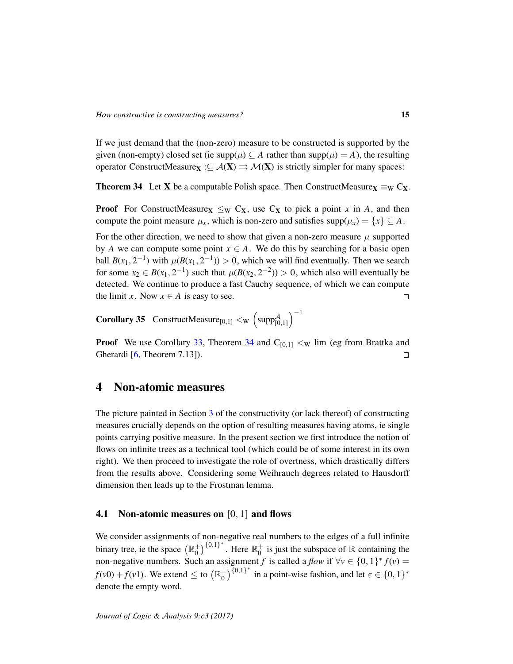If we just demand that the (non-zero) measure to be constructed is supported by the given (non-empty) closed set (ie  $\text{supp}(\mu) \subseteq A$  rather than  $\text{supp}(\mu) = A$ ), the resulting operator ConstructMeasure $\mathbf{x} : \subseteq \mathcal{A}(\mathbf{X}) \implies \mathcal{M}(\mathbf{X})$  is strictly simpler for many spaces:

**Theorem 34** Let **X** be a computable Polish space. Then ConstructMeasure $\mathbf{x} \equiv_{\mathbf{W}} \mathbf{C}_{\mathbf{X}}$ .

**Proof** For ConstructMeasure<sub>X</sub>  $\leq_W C_X$ , use  $C_X$  to pick a point *x* in *A*, and then compute the point measure  $\mu_x$ , which is non-zero and satisfies supp $(\mu_x) = \{x\} \subseteq A$ .

For the other direction, we need to show that given a non-zero measure  $\mu$  supported by *A* we can compute some point  $x \in A$ . We do this by searching for a basic open ball  $B(x_1, 2^{-1})$  with  $\mu(B(x_1, 2^{-1})) > 0$ , which we will find eventually. Then we search for some  $x_2 \in B(x_1, 2^{-1})$  such that  $\mu(B(x_2, 2^{-2})) > 0$ , which also will eventually be detected. We continue to produce a fast Cauchy sequence, of which we can compute the limit *x*. Now  $x \in A$  is easy to see.  $\Box$ 

**Corollary 35** ConstructMeasure<sub>[0,1]</sub>  $\lt_W$   $\left(\text{supp}^A_{[0,1]}\right)^{-1}$ 

**Proof** We use Corollary 33, Theorem 34 and  $C_{[0,1]} < W$  lim (eg from Brattka and Gherardi [6, Theorem 7.13]).  $\Box$ 

## 4 Non-atomic measures

The picture painted in Section 3 of the constructivity (or lack thereof) of constructing measures crucially depends on the option of resulting measures having atoms, ie single points carrying positive measure. In the present section we first introduce the notion of flows on infinite trees as a technical tool (which could be of some interest in its own right). We then proceed to investigate the role of overtness, which drastically differs from the results above. Considering some Weihrauch degrees related to Hausdorff dimension then leads up to the Frostman lemma.

#### 4.1 Non-atomic measures on [0, 1] and flows

We consider assignments of non-negative real numbers to the edges of a full infinite binary tree, ie the space  $(\mathbb{R}^+_0)$  $_{0}^{+})^{\{0,1\}^{*}}$ . Here  $\mathbb{R}_{0}^{+}$  $\frac{1}{0}$  is just the subspace of R containing the non-negative numbers. Such an assignment *f* is called a *flow* if  $\forall v \in \{0, 1\}^* f(v) =$  $f(v0) + f(v1)$ . We extend  $\leq$  to  $(\mathbb{R}^+_0)$  $\binom{+}{0}$  {0,1}<sup>\*</sup> in a point-wise fashion, and let  $\varepsilon \in \{0, 1\}^*$ denote the empty word.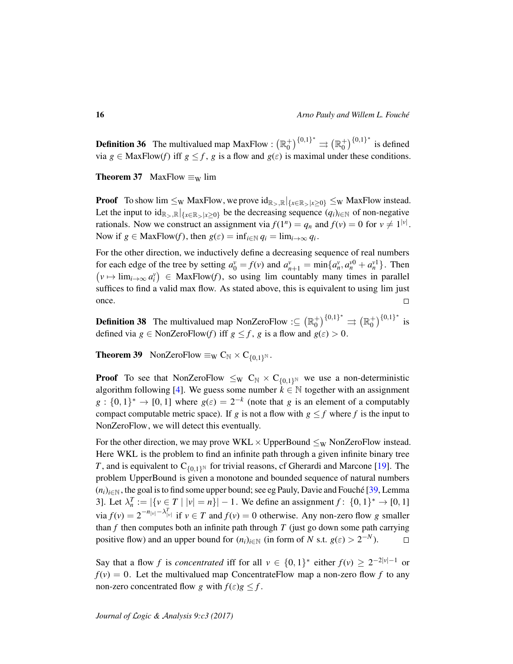**Definition 36** The multivalued map MaxFlow :  $(\mathbb{R}^+_{0})$  $\binom{+}{0}^{\{0,1\}^*} \rightrightarrows \left(\mathbb{R}^+_0\right)$  $_{0}^{+})^{\{0,1\}^{*}}$  is defined via  $g \in \text{MaxFlow}(f)$  iff  $g \leq f$ ,  $g$  is a flow and  $g(\varepsilon)$  is maximal under these conditions.

**Theorem 37** MaxFlow  $\equiv_W$  lim

**Proof** To show  $\lim \leq_W \text{MaxFlow}$ , we prove  $\text{id}_{\mathbb{R}_> \mathbb{R}}|_{\{x \in \mathbb{R}_> |x \geq 0\}} \leq_W \text{MaxFlow instead.}$ Let the input to  $id_{\mathbb{R}_{>},\mathbb{R}}|_{\{x\in\mathbb{R}_{>}\mid x\geq 0\}}$  be the decreasing sequence  $(q_i)_{i\in\mathbb{N}}$  of non-negative rationals. Now we construct an assignment via  $f(1^n) = q_n$  and  $f(v) = 0$  for  $v \neq 1^{|v|}$ . Now if  $g \in \text{MaxFlow}(f)$ , then  $g(\varepsilon) = \inf_{i \in \mathbb{N}} q_i = \lim_{i \to \infty} q_i$ .

For the other direction, we inductively define a decreasing sequence of real numbers for each edge of the tree by setting  $a_0^v = f(v)$  and  $a_{n+1}^v = \min\{a_n^v, a_n^{v0} + a_n^{v1}\}\.$  Then  $(v \mapsto \lim_{i \to \infty} a_i^v) \in \text{MaxFlow}(f)$ , so using lim countably many times in parallel suffices to find a valid max flow. As stated above, this is equivalent to using lim just once.  $\Box$ 

**Definition 38** The multivalued map NonZeroFlow : $\subseteq (\mathbb{R}_0^+)$  $\binom{+}{0}^{\{0,1\}^*} \rightrightarrows \left(\mathbb{R}^+_0\right)$  $_{0}^{+})^{\{0,1\}^{*}}$  is defined via  $g \in \text{NonZeroFlow}(f)$  iff  $g \le f$ ,  $g$  is a flow and  $g(\varepsilon) > 0$ .

**Theorem 39** NonZeroFlow  $\equiv_W C_N \times C_{\{0,1\}^N}$ .

**Proof** To see that NonZeroFlow  $\leq_W C_N \times C_{\{0,1\}^N}$  we use a non-deterministic algorithm following [4]. We guess some number  $k \in \mathbb{N}$  together with an assignment  $g: \{0,1\}^* \to [0,1]$  where  $g(\varepsilon) = 2^{-k}$  (note that *g* is an element of a computably compact computable metric space). If *g* is not a flow with  $g \leq f$  where *f* is the input to NonZeroFlow, we will detect this eventually.

For the other direction, we may prove WKL  $\times$  UpperBound  $\leq_W$  NonZeroFlow instead. Here WKL is the problem to find an infinite path through a given infinite binary tree *T*, and is equivalent to  $C_{\{0,1\}^{\mathbb{N}}}$  for trivial reasons, cf Gherardi and Marcone [19]. The problem UpperBound is given a monotone and bounded sequence of natural numbers  $(n_i)_{i \in \mathbb{N}}$ , the goal is to find some upper bound; see eg Pauly, Davie and Fouché [39, Lemma] 3]. Let  $\lambda_n^T := |\{v \in T \mid |v| = n\}| - 1$ . We define an assignment  $f: \{0, 1\}^* \to [0, 1]$ via  $f(v) = 2^{-n|v| - \lambda_{|v|}^T}$  if  $v \in T$  and  $f(v) = 0$  otherwise. Any non-zero flow *g* smaller than  $f$  then computes both an infinite path through  $T$  (just go down some path carrying positive flow) and an upper bound for  $(n_i)_{i \in \mathbb{N}}$  (in form of *N* s.t.  $g(\varepsilon) > 2^{-N}$ ).  $\Box$ 

Say that a flow *f* is *concentrated* iff for all  $v \in \{0,1\}^*$  either  $f(v) \ge 2^{-2|v|-1}$  or  $f(v) = 0$ . Let the multivalued map ConcentrateFlow map a non-zero flow f to any non-zero concentrated flow *g* with  $f(\varepsilon)g \leq f$ .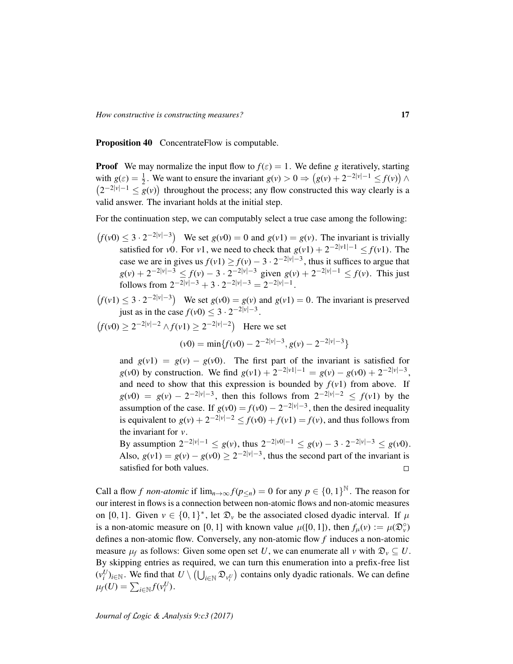Proposition 40 ConcentrateFlow is computable.

**Proof** We may normalize the input flow to  $f(\varepsilon) = 1$ . We define *g* iteratively, starting with  $g(\varepsilon) = \frac{1}{2}$  $\frac{1}{2}$ . We want to ensure the invariant  $g(v) > 0 \Rightarrow (g(v) + 2^{-2|v|-1} \le f(v))$   $\wedge$  $(2^{-2|\nu|-1} \leq g(\nu))$  throughout the process; any flow constructed this way clearly is a valid answer. The invariant holds at the initial step.

For the continuation step, we can computably select a true case among the following:

- $f(v0) \leq 3 \cdot 2^{-2|v|-3}$  We set  $g(v0) = 0$  and  $g(v1) = g(v)$ . The invariant is trivially satisfied for *v*0. For *v*1, we need to check that  $g(v1) + 2^{-2|v1|-1} \le f(v1)$ . The case we are in gives us  $f(v1) \ge f(v) - 3 \cdot 2^{-2|v|-3}$ , thus it suffices to argue that  $g(v) + 2^{-2|v|-3} \le f(v) - 3 \cdot 2^{-2|v|-3}$  given  $g(v) + 2^{-2|v|-1} \le f(v)$ . This just follows from  $2^{-2|\nu|-3} + 3 \cdot 2^{-2|\nu|-3} = 2^{-2|\nu|-1}$ .
- $f(v_1) \leq 3 \cdot 2^{-2|v|-3}$  We set  $g(v_0) = g(v)$  and  $g(v_1) = 0$ . The invariant is preserved just as in the case  $f(v0) \le 3 \cdot 2^{-2|v|-3}$ .

 $f(v0) \ge 2^{-2|v|-2}$  ∧ $f(v1) \ge 2^{-2|v|-2}$  Here we set

$$
(v0) = \min\{f(v0) - 2^{-2|v|-3}, g(v) - 2^{-2|v|-3}\}
$$

and  $g(v1) = g(v) - g(v0)$ . The first part of the invariant is satisfied for *g*(*v*0) by construction. We find  $g(v1) + 2^{-2|v1|-1} = g(v) - g(v0) + 2^{-2|v|-3}$ , and need to show that this expression is bounded by  $f(v1)$  from above. If  $g(v0) = g(v) - 2^{-2|v|-3}$ , then this follows from  $2^{-2|v|-2} \le f(v1)$  by the assumption of the case. If  $g(v0) = f(v0) - 2^{-2|v|-3}$ , then the desired inequality is equivalent to  $g(v) + 2^{-2|v|-2} \le f(v0) + f(v1) = f(v)$ , and thus follows from the invariant for *v*.

By assumption  $2^{-2|\nu|-1} \le g(\nu)$ , thus  $2^{-2|\nu 0|-1} \le g(\nu) - 3 \cdot 2^{-2|\nu|-3} \le g(\nu 0)$ . Also,  $g(v1) = g(v) - g(v0) \ge 2^{-2|v|-3}$ , thus the second part of the invariant is satisfied for both values.

Call a flow *f non-atomic* if  $\lim_{n\to\infty} f(p_{\leq n}) = 0$  for any  $p \in \{0,1\}^{\mathbb{N}}$ . The reason for our interest in flows is a connection between non-atomic flows and non-atomic measures on [0, 1]. Given  $v \in \{0, 1\}^*$ , let  $\mathfrak{D}_v$  be the associated closed dyadic interval. If  $\mu$ is a non-atomic measure on [0, 1] with known value  $\mu([0, 1])$ , then  $f_{\mu}(v) := \mu(\mathfrak{D}_{\nu}^{\circ})$ defines a non-atomic flow. Conversely, any non-atomic flow *f* induces a non-atomic measure  $\mu_f$  as follows: Given some open set *U*, we can enumerate all *v* with  $\mathfrak{D}_v \subseteq U$ . By skipping entries as required, we can turn this enumeration into a prefix-free list  $(v_i^U)_{i \in \mathbb{N}}$ . We find that  $U \setminus (\bigcup_{i \in \mathbb{N}} \mathfrak{D}_{v_i^U})$  contains only dyadic rationals. We can define  $\mu_f(U) = \sum_{i \in \mathbb{N}} f(v_i^U).$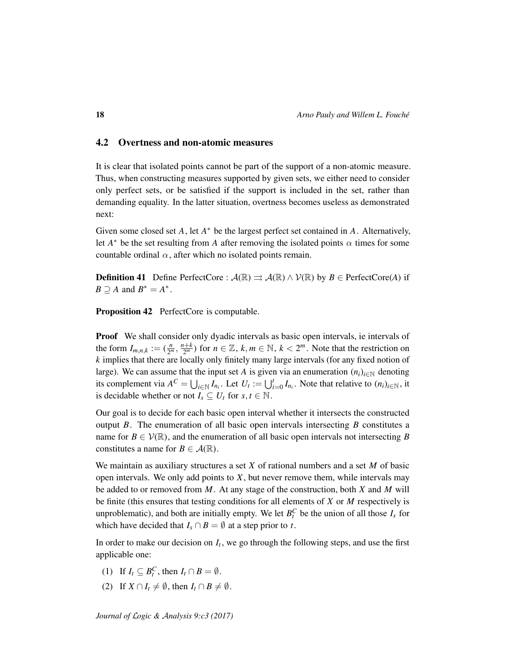### 4.2 Overtness and non-atomic measures

It is clear that isolated points cannot be part of the support of a non-atomic measure. Thus, when constructing measures supported by given sets, we either need to consider only perfect sets, or be satisfied if the support is included in the set, rather than demanding equality. In the latter situation, overtness becomes useless as demonstrated next:

Given some closed set *A*, let *A*<sup>\*</sup> be the largest perfect set contained in *A*. Alternatively, let  $A^*$  be the set resulting from *A* after removing the isolated points  $\alpha$  times for some countable ordinal  $\alpha$ , after which no isolated points remain.

**Definition 41** Define PerfectCore :  $\mathcal{A}(\mathbb{R}) \rightrightarrows \mathcal{A}(\mathbb{R}) \wedge \mathcal{V}(\mathbb{R})$  by  $B \in \text{PerfectCore}(A)$  if  $B \supseteq A$  and  $B^* = A^*$ .

Proposition 42 PerfectCore is computable.

Proof We shall consider only dyadic intervals as basic open intervals, ie intervals of the form  $I_{m,n,k} := (\frac{n}{2^n})$  $\frac{n}{2^m}, \frac{n+k}{2^m}$  $\frac{p+ k}{2^m}$ ) for *n* ∈  $\mathbb{Z}$ , *k*, *m* ∈  $\mathbb{N}$ , *k* <  $2^m$ . Note that the restriction on *k* implies that there are locally only finitely many large intervals (for any fixed notion of large). We can assume that the input set *A* is given via an enumeration  $(n_i)_{i \in \mathbb{N}}$  denoting its complement via  $A^C = \bigcup_{i \in \mathbb{N}} I_{n_i}$ . Let  $U_t := \bigcup_{i=0}^t I_{n_i}$ . Note that relative to  $(n_i)_{i \in \mathbb{N}}$ , it is decidable whether or not  $I_s \subseteq U_t$  for  $s, t \in \mathbb{N}$ .

Our goal is to decide for each basic open interval whether it intersects the constructed output *B*. The enumeration of all basic open intervals intersecting *B* constitutes a name for  $B \in \mathcal{V}(\mathbb{R})$ , and the enumeration of all basic open intervals not intersecting *B* constitutes a name for  $B \in \mathcal{A}(\mathbb{R})$ .

We maintain as auxiliary structures a set *X* of rational numbers and a set *M* of basic open intervals. We only add points to *X*, but never remove them, while intervals may be added to or removed from *M*. At any stage of the construction, both *X* and *M* will be finite (this ensures that testing conditions for all elements of *X* or *M* respectively is unproblematic), and both are initially empty. We let  $B_t^C$  be the union of all those  $I_s$  for which have decided that  $I_s \cap B = \emptyset$  at a step prior to *t*.

In order to make our decision on  $I_t$ , we go through the following steps, and use the first applicable one:

- (1) If  $I_t \subseteq B_t^C$ , then  $I_t \cap B = \emptyset$ .
- (2) If  $X \cap I_t \neq \emptyset$ , then  $I_t \cap B \neq \emptyset$ .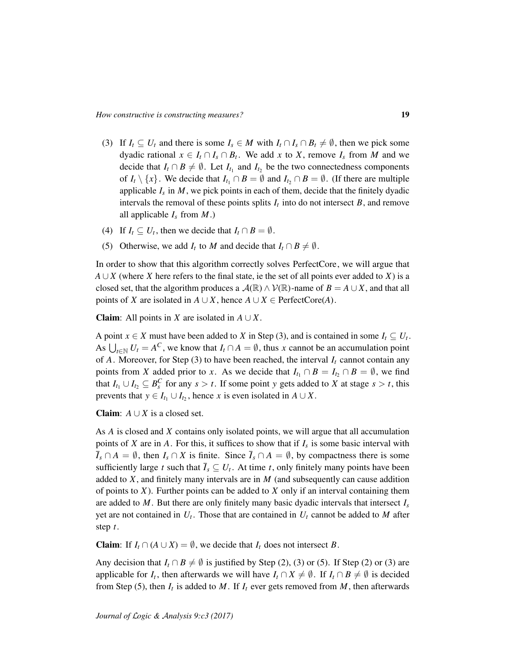- (3) If  $I_t \subseteq U_t$  and there is some  $I_s \in M$  with  $I_t \cap I_s \cap B_t \neq \emptyset$ , then we pick some dyadic rational  $x \in I_t \cap I_s \cap B_t$ . We add x to X, remove  $I_s$  from M and we decide that  $I_t \cap B \neq \emptyset$ . Let  $I_{t_1}$  and  $I_{t_2}$  be the two connectedness components of  $I_t \setminus \{x\}$ . We decide that  $I_{t_1} \cap B = \emptyset$  and  $I_{t_2} \cap B = \emptyset$ . (If there are multiple applicable  $I_s$  in  $M$ , we pick points in each of them, decide that the finitely dyadic intervals the removal of these points splits  $I_t$  into do not intersect  $B$ , and remove all applicable  $I_s$  from  $M$ .)
- (4) If  $I_t \subseteq U_t$ , then we decide that  $I_t \cap B = \emptyset$ .
- (5) Otherwise, we add  $I_t$  to *M* and decide that  $I_t \cap B \neq \emptyset$ .

In order to show that this algorithm correctly solves PerfectCore, we will argue that *A* ∪ *X* (where *X* here refers to the final state, ie the set of all points ever added to *X*) is a closed set, that the algorithm produces a  $\mathcal{A}(\mathbb{R}) \wedge \mathcal{V}(\mathbb{R})$ -name of  $B = A \cup X$ , and that all points of *X* are isolated in  $A \cup X$ , hence  $A \cup X \in \text{PerfectCore}(A)$ .

**Claim**: All points in *X* are isolated in  $A \cup X$ .

A point  $x \in X$  must have been added to *X* in Step (3), and is contained in some  $I_t \subseteq U_t$ . As  $\bigcup_{t \in \mathbb{N}} U_t = A^C$ , we know that  $I_t \cap A = \emptyset$ , thus *x* cannot be an accumulation point of *A*. Moreover, for Step (3) to have been reached, the interval  $I_t$  cannot contain any points from *X* added prior to *x*. As we decide that  $I_{t_1} \cap B = I_{t_2} \cap B = \emptyset$ , we find that  $I_{t_1} \cup I_{t_2} \subseteq B_s^C$  for any  $s > t$ . If some point *y* gets added to *X* at stage  $s > t$ , this prevents that  $y \in I_{t_1} \cup I_{t_2}$ , hence *x* is even isolated in  $A \cup X$ .

**Claim:**  $A \cup X$  is a closed set.

As *A* is closed and *X* contains only isolated points, we will argue that all accumulation points of *X* are in *A*. For this, it suffices to show that if  $I_s$  is some basic interval with  $\overline{I}_s \cap A = \emptyset$ , then  $I_s \cap X$  is finite. Since  $\overline{I}_s \cap A = \emptyset$ , by compactness there is some sufficiently large *t* such that  $\overline{I}_s \subseteq U_t$ . At time *t*, only finitely many points have been added to *X*, and finitely many intervals are in *M* (and subsequently can cause addition of points to *X*). Further points can be added to *X* only if an interval containing them are added to *M*. But there are only finitely many basic dyadic intervals that intersect  $I_s$ yet are not contained in *U<sup>t</sup>* . Those that are contained in *U<sup>t</sup>* cannot be added to *M* after step *t*.

**Claim**: If  $I_t \cap (A \cup X) = \emptyset$ , we decide that  $I_t$  does not intersect *B*.

Any decision that  $I_t \cap B \neq \emptyset$  is justified by Step (2), (3) or (5). If Step (2) or (3) are applicable for *I<sub>t</sub>*, then afterwards we will have  $I_t \cap X \neq \emptyset$ . If  $I_t \cap B \neq \emptyset$  is decided from Step (5), then  $I_t$  is added to  $M$ . If  $I_t$  ever gets removed from  $M$ , then afterwards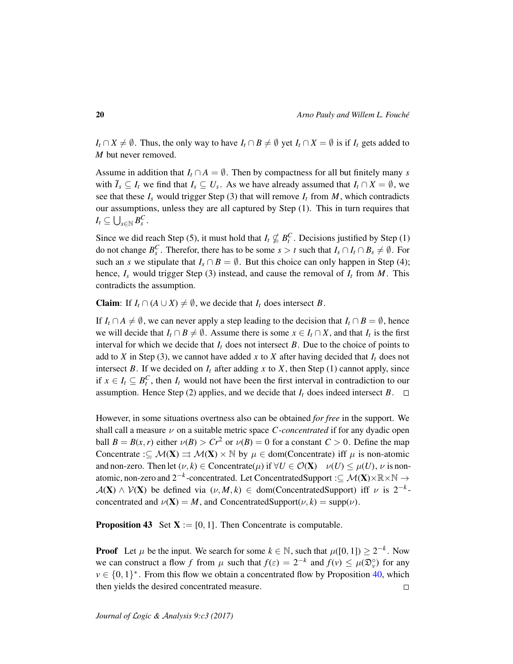*I*<sup>*t*</sup> ∩ *X*  $\neq$  *Ø*. Thus, the only way to have *I*<sub>*t*</sub> ∩ *B*  $\neq$  *Ø* yet *I*<sub>*t*</sub> ∩ *X* = *Ø* is if *I*<sub>*t*</sub> gets added to *M* but never removed.

Assume in addition that  $I_t \cap A = \emptyset$ . Then by compactness for all but finitely many *s* with  $\overline{I}_s \subseteq I_t$  we find that  $I_s \subseteq U_s$ . As we have already assumed that  $I_t \cap X = \emptyset$ , we see that these  $I_s$  would trigger Step (3) that will remove  $I_t$  from  $M$ , which contradicts our assumptions, unless they are all captured by Step (1). This in turn requires that  $I_t \subseteq \bigcup_{s \in \mathbb{N}} B_s^C$ .

Since we did reach Step (5), it must hold that  $I_t \nsubseteq B_t^C$ . Decisions justified by Step (1) do not change  $B_s^C$ . Therefor, there has to be some  $s > t$  such that  $I_s \cap I_t \cap B_s \neq \emptyset$ . For such an *s* we stipulate that  $I_s \cap B = \emptyset$ . But this choice can only happen in Step (4); hence,  $I_s$  would trigger Step (3) instead, and cause the removal of  $I_t$  from  $M$ . This contradicts the assumption.

**Claim:** If  $I_t \cap (A \cup X) \neq \emptyset$ , we decide that  $I_t$  does intersect *B*.

If  $I_t \cap A \neq \emptyset$ , we can never apply a step leading to the decision that  $I_t \cap B = \emptyset$ , hence we will decide that  $I_t \cap B \neq \emptyset$ . Assume there is some  $x \in I_t \cap X$ , and that  $I_t$  is the first interval for which we decide that  $I_t$  does not intersect  $B$ . Due to the choice of points to add to *X* in Step (3), we cannot have added *x* to *X* after having decided that  $I_t$  does not intersect *B*. If we decided on  $I_t$  after adding *x* to *X*, then Step (1) cannot apply, since if  $x \in I_t \subseteq B_t^C$ , then  $I_t$  would not have been the first interval in contradiction to our assumption. Hence Step (2) applies, and we decide that  $I_t$  does indeed intersect  $B$ .  $\Box$ 

However, in some situations overtness also can be obtained *for free* in the support. We shall call a measure ν on a suitable metric space *C*-*concentrated* if for any dyadic open ball  $B = B(x, r)$  either  $\nu(B) > Cr^2$  or  $\nu(B) = 0$  for a constant  $C > 0$ . Define the map Concentrate : $\subseteq \mathcal{M}(\mathbf{X}) \Rightarrow \mathcal{M}(\mathbf{X}) \times \mathbb{N}$  by  $\mu \in \text{dom}(\text{Concentrate})$  iff  $\mu$  is non-atomic and non-zero. Then let  $(\nu, k) \in \text{Concat}(\mu)$  if  $\forall U \in \mathcal{O}(\mathbf{X}) \quad \nu(U) \leq \mu(U), \nu$  is nonatomic, non-zero and 2<sup>-*k*</sup>-concentrated. Let ConcentratedSupport :⊆  $\mathcal{M}(\mathbf{X})\times\mathbb{R}\times\mathbb{N}\rightarrow$  $A(X) \wedge V(X)$  be defined via  $(\nu, M, k) \in \text{dom}(\text{ConcentratedSupport})$  iff  $\nu$  is  $2^{-k}$ concentrated and  $\nu(\mathbf{X}) = M$ , and ConcentratedSupport $(\nu, k) = \text{supp}(\nu)$ .

**Proposition 43** Set  $X := [0, 1]$ . Then Concentrate is computable.

**Proof** Let  $\mu$  be the input. We search for some  $k \in \mathbb{N}$ , such that  $\mu([0, 1]) \geq 2^{-k}$ . Now we can construct a flow *f* from  $\mu$  such that  $f(\varepsilon) = 2^{-k}$  and  $f(v) \leq \mu(\mathfrak{D}_{v}^{\circ})$  for any  $v \in \{0, 1\}^*$ . From this flow we obtain a concentrated flow by Proposition 40, which then yields the desired concentrated measure.  $\Box$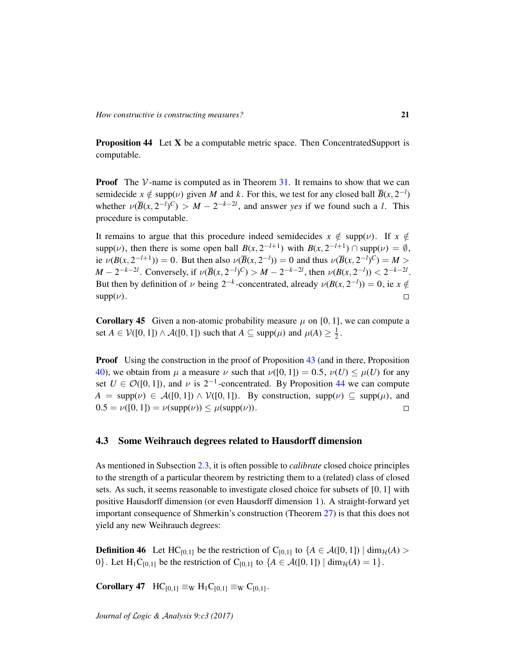Proposition 44 Let X be a computable metric space. Then ConcentratedSupport is computable.

**Proof** The  $V$ -name is computed as in Theorem 31. It remains to show that we can semidecide  $x \notin \text{supp}(\nu)$  given *M* and *k*. For this, we test for any closed ball  $\overline{B}(x, 2^{-l})$ whether  $\nu(\overline{B}(x, 2^{-l})^C) > M - 2^{-k-2l}$ , and answer *yes* if we found such a *l*. This procedure is computable.

It remains to argue that this procedure indeed semidecides  $x \notin \text{supp}(\nu)$ . If  $x \notin$ supp( $\nu$ ), then there is some open ball  $B(x, 2^{-l+1})$  with  $B(x, 2^{-l+1}) \cap \text{supp}(\nu) = \emptyset$ , ie  $\nu(B(x, 2^{-l+1})) = 0$ . But then also  $\nu(\overline{B}(x, 2^{-l})) = 0$  and thus  $\nu(\overline{B}(x, 2^{-l})^C) = M >$  $M - 2^{-k-2l}$ . Conversely, if  $\nu(\overline{B}(x, 2^{-l})^C) > M - 2^{-k-2l}$ , then  $\nu(B(x, 2^{-l})) < 2^{-k-2l}$ . But then by definition of  $\nu$  being 2<sup>-*k*</sup>-concentrated, already  $\nu(B(x, 2^{-l})) = 0$ , ie  $x \notin$  $supp(\nu)$ .  $\Box$ 

**Corollary 45** Given a non-atomic probability measure  $\mu$  on [0, 1], we can compute a set  $A \in \mathcal{V}([0, 1]) \wedge \mathcal{A}([0, 1])$  such that  $A \subseteq \text{supp}(\mu)$  and  $\mu(A) \geq \frac{1}{2}$  $\frac{1}{2}$ .

**Proof** Using the construction in the proof of Proposition 43 (and in there, Proposition 40), we obtain from  $\mu$  a measure  $\nu$  such that  $\nu([0, 1]) = 0.5$ ,  $\nu(U) \leq \mu(U)$  for any set  $U \in \mathcal{O}([0,1])$ , and  $\nu$  is  $2^{-1}$ -concentrated. By Proposition 44 we can compute  $A = \text{supp}(\nu) \in \mathcal{A}([0,1]) \wedge \mathcal{V}([0,1])$ . By construction,  $\text{supp}(\nu) \subseteq \text{supp}(\mu)$ , and  $0.5 = \nu([0, 1]) = \nu(\text{supp}(\nu)) \leq \mu(\text{supp}(\nu)).$  $\Box$ 

#### 4.3 Some Weihrauch degrees related to Hausdorff dimension

As mentioned in Subsection 2.3, it is often possible to *calibrate* closed choice principles to the strength of a particular theorem by restricting them to a (related) class of closed sets. As such, it seems reasonable to investigate closed choice for subsets of [0, 1] with positive Hausdorff dimension (or even Hausdorff dimension 1). A straight-forward yet important consequence of Shmerkin's construction (Theorem 27) is that this does not yield any new Weihrauch degrees:

**Definition 46** Let HC<sub>[0,1]</sub> be the restriction of C<sub>[0,1]</sub> to  ${A \in \mathcal{A}([0,1]) \mid \dim_{\mathcal{H}}(A) >}$ 0}. Let H<sub>1</sub>C<sub>[0,1]</sub> be the restriction of C<sub>[0,1]</sub> to  ${A \in \mathcal{A}([0, 1]) \mid \dim_{\mathcal{H}}(A) = 1}.$ 

Corollary 47  $HC_{[0,1]} \equiv_W H_1C_{[0,1]} \equiv_W C_{[0,1]}$ .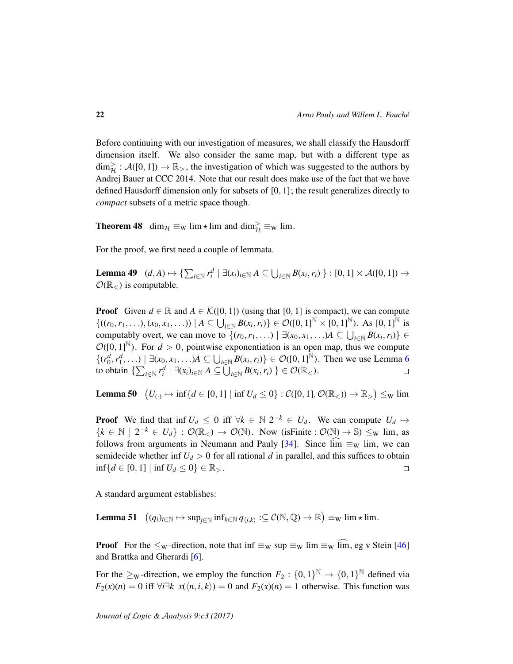Before continuing with our investigation of measures, we shall classify the Hausdorff dimension itself. We also consider the same map, but with a different type as  $\dim_{\mathcal{H}}^{\geq} : \mathcal{A}([0,1]) \to \mathbb{R}_{>}$ , the investigation of which was suggested to the authors by Andrej Bauer at CCC 2014. Note that our result does make use of the fact that we have defined Hausdorff dimension only for subsets of [0, 1]; the result generalizes directly to *compact* subsets of a metric space though.

**Theorem 48** dim<sub> $H \equiv w \lim_{x \to w} \lim_{x \to w}$  and dim<sub> $H \equiv w \lim_{x \to w}$ .</sub></sub>

For the proof, we first need a couple of lemmata.

Lemma 49  $(d, A) \mapsto \{\sum_{i \in \mathbb{N}} r_i^d \mid \exists (x_i)_{i \in \mathbb{N}} A \subseteq \bigcup_{i \in \mathbb{N}} B(x_i, r_i) \} : [0, 1] \times \mathcal{A}([0, 1]) \rightarrow$  $\mathcal{O}(\mathbb{R}_{\leq})$  is computable.

**Proof** Given  $d \in \mathbb{R}$  and  $A \in \mathcal{K}([0, 1])$  (using that [0, 1] is compact), we can compute  $\{((r_0, r_1, \ldots), (x_0, x_1, \ldots)) \mid A \subseteq \bigcup_{i \in \mathbb{N}} B(x_i, r_i)\} \in \mathcal{O}([0, 1]^{\mathbb{N}} \times [0, 1]^{\mathbb{N}})$ . As  $[0, 1]^{\mathbb{N}}$  is computably overt, we can move to  $\{(r_0, r_1, \ldots) \mid \exists (x_0, x_1, \ldots)A \subseteq \bigcup_{i \in \mathbb{N}} B(x_i, r_i)\} \in$  $\mathcal{O}([0,1]^{\mathbb{N}})$ . For  $d > 0$ , pointwise exponentiation is an open map, thus we compute  $\{(r_0^d, r_1^d, \ldots) \mid \exists (x_0, x_1, \ldots)A \subseteq \bigcup_{i \in \mathbb{N}} B(x_i, r_i)\} \in \mathcal{O}([0, 1]^{\mathbb{N}})$ . Then we use Lemma 6 to obtain  $\{\sum_{i\in\mathbb{N}} r_i^d \mid \exists (x_i)_{i\in\mathbb{N}} A \subseteq \overline{\bigcup}_{i\in\mathbb{N}} B(x_i, r_i)\}\in\mathcal{O}(\mathbb{R}<).$  $\Box$ 

**Lemma 50**  $(U_{(\cdot)} \mapsto \inf\{d \in [0,1] \mid \inf U_d \le 0\} : C([0,1], \mathcal{O}(\mathbb{R}_{<})) \to \mathbb{R}_{>}) \leq_{\text{W}} \lim$ 

**Proof** We find that inf  $U_d \leq 0$  iff  $\forall k \in \mathbb{N} \ 2^{-k} \in U_d$ . We can compute  $U_d \mapsto$  ${k \in \mathbb{N} \mid 2^{-k} \in U_d}$  :  $\mathcal{O}(\mathbb{R}) \to \mathcal{O}(\mathbb{N})$ . Now (is Finite :  $\mathcal{O}(\mathbb{N}) \to \mathbb{S}$ )  $\leq_W$  lim, as follows from arguments in Neumann and Pauly [34]. Since  $\lim_{x \to \infty} \lim_{x \to \infty}$  lim, we can semidecide whether inf  $U_d > 0$  for all rational *d* in parallel, and this suffices to obtain inf { $d \in [0, 1]$  | inf  $U_d \le 0$ } ∈  $\mathbb{R}_>$ .  $\Box$ 

A standard argument establishes:

Lemma 51  $((q_i)_{i \in \mathbb{N}} \mapsto \sup_{j \in \mathbb{N}} \inf_{k \in \mathbb{N}} q_{\langle j,k \rangle} : \subseteq \mathcal{C}(\mathbb{N}, \mathbb{Q}) \to \mathbb{R}) \equiv_{\mathbf{W}} \lim \star \lim$ .

**Proof** For the  $\leq_W$ -direction, note that inf  $\equiv_W \sup \equiv_W \lim \equiv_W \lim$ , eg v Stein [46] and Brattka and Gherardi [6].

For the  $\geq_W$ -direction, we employ the function  $F_2: \{0,1\}^{\mathbb{N}} \to \{0,1\}^{\mathbb{N}}$  defined via  $F_2(x)(n) = 0$  iff  $\forall i \exists k \ x(\langle n, i, k \rangle) = 0$  and  $F_2(x)(n) = 1$  otherwise. This function was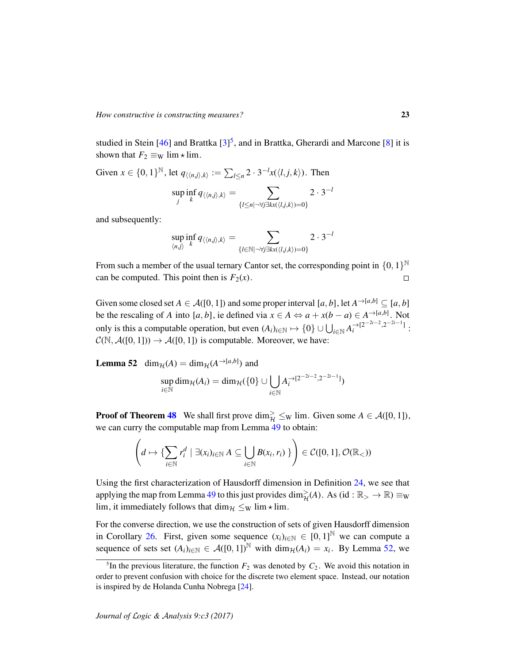studied in Stein [46] and Brattka  $[3]^{5}$ , and in Brattka, Gherardi and Marcone [8] it is shown that  $F_2 \equiv_W \lim_{x \to \infty}$  lim.

Given  $x \in \{0, 1\}^{\mathbb{N}}$ , let  $q_{\langle\langle n,j\rangle, k\rangle} := \sum_{l \leq n} 2 \cdot 3^{-l} x(\langle l,j,k\rangle)$ . Then  $\sup\inf_{t} q_{\langle\langle n,j\rangle,k\rangle} = \sum 2 \cdot 3^{-l}$ 

$$
\sum_{j} \sum_{k} q(\langle n,j \rangle, k) = \sum_{\{l \leq n \mid \neg \forall j \exists k x(\langle l,j,k \rangle) = 0\}}
$$

and subsequently:

$$
\sup_{\langle n,j\rangle} \inf_k q_{\langle\langle n,j\rangle,k\rangle} = \sum_{\{l \in \mathbb{N} \mid \neg \forall j \exists k x (\langle l,j,k\rangle) = 0\}} 2 \cdot 3^{-l}
$$

From such a member of the usual ternary Cantor set, the corresponding point in  $\{0,1\}^{\mathbb{N}}$ can be computed. This point then is  $F_2(x)$ .  $\Box$ 

Given some closed set  $A \in \mathcal{A}([0, 1])$  and some proper interval  $[a, b]$ , let  $A^{\rightarrow [a, b]} \subseteq [a, b]$ be the rescaling of *A* into [*a*, *b*], ie defined via  $x \in A \Leftrightarrow a + x(b - a) \in A^{\rightarrow [a,b]}$ . Not only is this a computable operation, but even  $(A_i)_{i \in \mathbb{N}} \mapsto \{0\} \cup \bigcup_{i \in \mathbb{N}} A_i^{-\frac{1}{2} (2^{-2i-2}, 2^{-2i-1}]}$ :  $\mathcal{C}(\mathbb{N}, \mathcal{A}([0, 1])) \to \mathcal{A}([0, 1])$  is computable. Moreover, we have:

**Lemma 52** dim<sub> $H$ </sub>(*A*) = dim<sub> $H$ </sub>(*A*<sup> $\rightarrow$ [*a*,*b*]</sup>) and

$$
\sup_{i\in\mathbb{N}}\dim_{\mathcal{H}}(A_i)=\dim_{\mathcal{H}}(\{0\}\cup\bigcup_{i\in\mathbb{N}}A_i^{\rightarrow[2^{-2i-2},2^{-2i-1}]})
$$

**Proof of Theorem 48** We shall first prove  $\dim_{\mathcal{H}}^{\geq} \leq_{\mathrm{W}} \lim$ . Given some  $A \in \mathcal{A}([0, 1])$ , we can curry the computable map from Lemma 49 to obtain:

$$
\left(d \mapsto \{\sum_{i \in \mathbb{N}} r_i^d \mid \exists (x_i)_{i \in \mathbb{N}} A \subseteq \bigcup_{i \in \mathbb{N}} B(x_i, r_i) \}\right) \in \mathcal{C}([0, 1], \mathcal{O}(\mathbb{R}_<))
$$

Using the first characterization of Hausdorff dimension in Definition 24, we see that applying the map from Lemma 49 to this just provides  $\dim_{\mathcal{H}}^{\geq}(A)$ . As  $(id : \mathbb{R}_{>}\to\mathbb{R}) \equiv_{\mathbb{W}}$ lim, it immediately follows that dim $\mathcal{H} \leq_{W}$  lim  $\star$  lim.

For the converse direction, we use the construction of sets of given Hausdorff dimension in Corollary 26. First, given some sequence  $(x_i)_{i \in \mathbb{N}} \in [0,1]^{\mathbb{N}}$  we can compute a sequence of sets set  $(A_i)_{i \in \mathbb{N}} \in \mathcal{A}([0,1])^{\mathbb{N}}$  with  $\dim_{\mathcal{H}}(A_i) = x_i$ . By Lemma 52, we

<sup>&</sup>lt;sup>5</sup>In the previous literature, the function  $F_2$  was denoted by  $C_2$ . We avoid this notation in order to prevent confusion with choice for the discrete two element space. Instead, our notation is inspired by de Holanda Cunha Nobrega [24].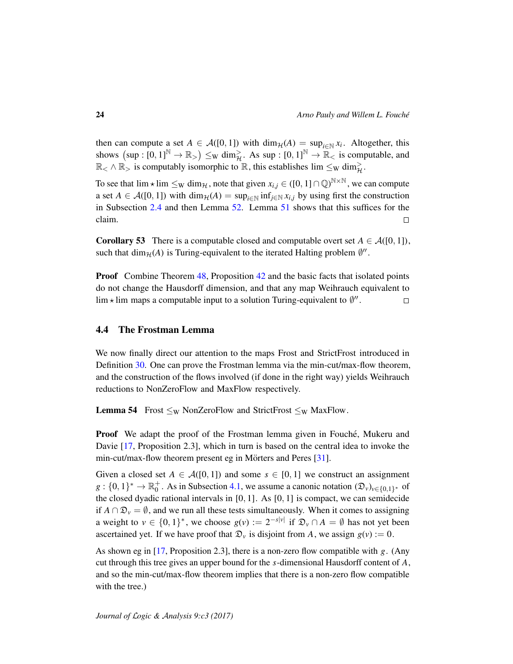then can compute a set  $A \in \mathcal{A}([0,1])$  with  $\dim_{\mathcal{H}}(A) = \sup_{i \in \mathbb{N}} x_i$ . Altogether, this shows  $(\sup : [0,1]^{\mathbb{N}} \to \mathbb{R}_{>}) \leq_{\mathbb{W}} \dim_{\mathcal{H}}^{\geq}$ . As sup :  $[0,1]^{\mathbb{N}} \to \mathbb{R}_{<}$  is computable, and  $\mathbb{R}_{<} \wedge \mathbb{R}_{>}$  is computably isomorphic to  $\mathbb{R}$ , this establishes  $\lim \leq_{\mathrm{W}} \dim_{\mathcal{H}}^{\geq}$ .

To see that  $\lim_{x \to \infty} \lim_{x \to \infty} \lim_{x \to \infty} f(x)$ , note that given  $x_{i,j} \in ([0, 1] \cap \mathbb{Q})^{\mathbb{N} \times \mathbb{N}}$ , we can compute a set  $A \in \mathcal{A}([0,1])$  with dim $\mathcal{H}(A) = \sup_{i \in \mathbb{N}} \inf_{j \in \mathbb{N}} x_{i,j}$  by using first the construction in Subsection 2.4 and then Lemma 52. Lemma 51 shows that this suffices for the claim.  $\Box$ 

**Corollary 53** There is a computable closed and computable overt set  $A \in \mathcal{A}([0, 1])$ , such that  $\dim_{\mathcal{H}}(A)$  is Turing-equivalent to the iterated Halting problem  $\emptyset$ <sup>*n*</sup>.

**Proof** Combine Theorem 48, Proposition 42 and the basic facts that isolated points do not change the Hausdorff dimension, and that any map Weihrauch equivalent to lim  $\star$  lim maps a computable input to a solution Turing-equivalent to  $\emptyset$ ".  $\Box$ 

#### 4.4 The Frostman Lemma

We now finally direct our attention to the maps Frost and StrictFrost introduced in Definition 30. One can prove the Frostman lemma via the min-cut/max-flow theorem, and the construction of the flows involved (if done in the right way) yields Weihrauch reductions to NonZeroFlow and MaxFlow respectively.

**Lemma 54** Frost  $\leq_W$  NonZeroFlow and StrictFrost  $\leq_W$  MaxFlow.

**Proof** We adapt the proof of the Frostman lemma given in Fouché, Mukeru and Davie [17, Proposition 2.3], which in turn is based on the central idea to invoke the min-cut/max-flow theorem present eg in Mörters and Peres [31].

Given a closed set  $A \in \mathcal{A}([0,1])$  and some  $s \in [0,1]$  we construct an assignment  $g: \{0,1\}^* \to \mathbb{R}_0^+$ <sup>+</sup>. As in Subsection 4.1, we assume a canonic notation  $(\mathfrak{D}_{\nu})_{\nu \in \{0,1\}^*}$  of the closed dyadic rational intervals in [0, 1]. As [0, 1] is compact, we can semidecide if  $A \cap \mathcal{D}_v = \emptyset$ , and we run all these tests simultaneously. When it comes to assigning a weight to  $v \in \{0,1\}^*$ , we choose  $g(v) := 2^{-s|v|}$  if  $\mathfrak{D}_v \cap A = \emptyset$  has not yet been ascertained yet. If we have proof that  $\mathcal{D}_v$  is disjoint from *A*, we assign  $g(v) := 0$ .

As shown eg in [17, Proposition 2.3], there is a non-zero flow compatible with *g*. (Any cut through this tree gives an upper bound for the *s*-dimensional Hausdorff content of *A*, and so the min-cut/max-flow theorem implies that there is a non-zero flow compatible with the tree.)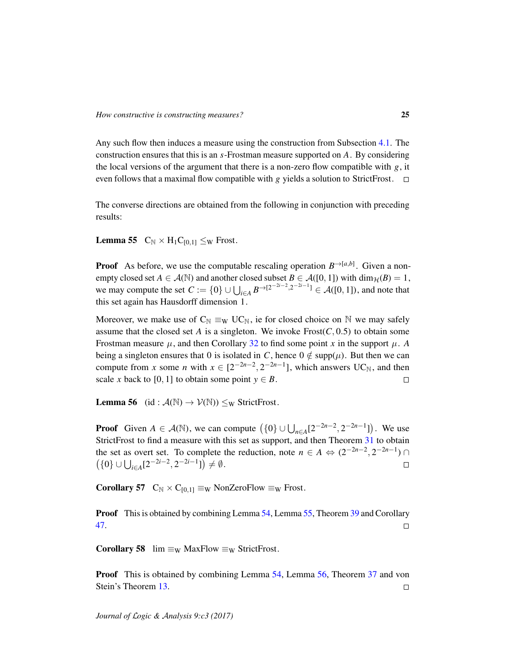Any such flow then induces a measure using the construction from Subsection 4.1. The construction ensures that this is an *s*-Frostman measure supported on *A*. By considering the local versions of the argument that there is a non-zero flow compatible with  $g$ , it even follows that a maximal flow compatible with *g* yields a solution to StrictFrost.  $\Box$ 

The converse directions are obtained from the following in conjunction with preceding results:

**Lemma 55**  $C_N \times H_1C_{[0,1]} \leq_W$  Frost.

**Proof** As before, we use the computable rescaling operation  $B^{\rightarrow [a,b]}$ . Given a nonempty closed set  $A \in \mathcal{A}(\mathbb{N})$  and another closed subset  $B \in \mathcal{A}([0, 1])$  with  $\dim_{\mathcal{H}}(B) = 1$ , we may compute the set  $C := \{0\} \cup \bigcup_{i \in A} B^{\rightarrow [2^{-2i-2}, 2^{-2i-1}]} \in \mathcal{A}([0,1])$ , and note that this set again has Hausdorff dimension 1.

Moreover, we make use of  $C_N \equiv_W U C_N$ , ie for closed choice on N we may safely assume that the closed set *A* is a singleton. We invoke  $Frost(C, 0.5)$  to obtain some Frostman measure  $\mu$ , and then Corollary 32 to find some point *x* in the support  $\mu$ . *A* being a singleton ensures that 0 is isolated in *C*, hence  $0 \notin \text{supp}(\mu)$ . But then we can compute from *x* some *n* with  $x \in [2^{-2n-2}, 2^{-2n-1}]$ , which answers UC<sub>N</sub>, and then scale *x* back to [0, 1] to obtain some point  $y \in B$ .  $\Box$ 

**Lemma 56** (id :  $\mathcal{A}(\mathbb{N}) \to \mathcal{V}(\mathbb{N})$ )  $\leq_{\text{W}}$  StrictFrost.

**Proof** Given  $A \in \mathcal{A}(\mathbb{N})$ , we can compute  $(\{0\} \cup \bigcup_{n \in A} [2^{-2n-2}, 2^{-2n-1}])$ . We use StrictFrost to find a measure with this set as support, and then Theorem 31 to obtain the set as overt set. To complete the reduction, note  $n \in A \Leftrightarrow (2^{-2n-2}, 2^{-2n-1}) \cap$  $({0} \cup \bigcup_{i \in A} [2^{-2i-2}, 2^{-2i-1}]\) \neq \emptyset.$  $\Box$ 

**Corollary 57**  $C_N \times C_{[0,1]} \equiv_W \text{NonZeroFlow} \equiv_W \text{Frost.}$ 

Proof This is obtained by combining Lemma 54, Lemma 55, Theorem 39 and Corollary 47.  $\Box$ 

**Corollary 58** lim  $\equiv_W$  MaxFlow  $\equiv_W$  StrictFrost.

**Proof** This is obtained by combining Lemma 54, Lemma 56, Theorem 37 and von Stein's Theorem 13.  $\Box$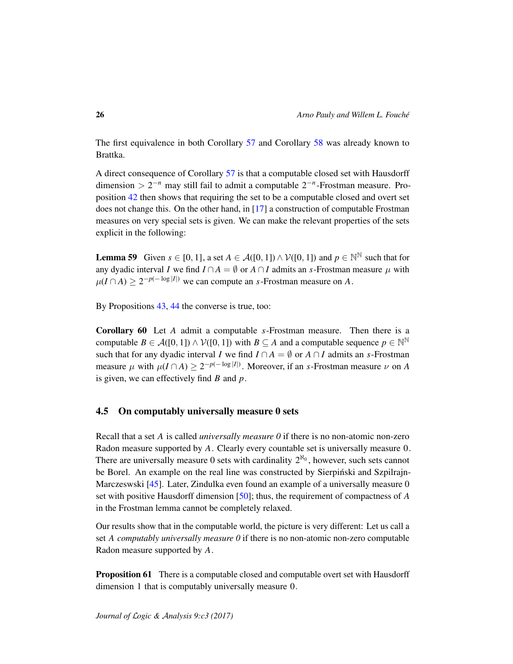The first equivalence in both Corollary 57 and Corollary 58 was already known to Brattka.

A direct consequence of Corollary 57 is that a computable closed set with Hausdorff dimension >  $2^{-n}$  may still fail to admit a computable  $2^{-n}$ -Frostman measure. Proposition 42 then shows that requiring the set to be a computable closed and overt set does not change this. On the other hand, in [17] a construction of computable Frostman measures on very special sets is given. We can make the relevant properties of the sets explicit in the following:

**Lemma 59** Given  $s \in [0, 1]$ , a set  $A \in \mathcal{A}([0, 1]) \wedge \mathcal{V}([0, 1])$  and  $p \in \mathbb{N}^{\mathbb{N}}$  such that for any dyadic interval *I* we find  $I \cap A = \emptyset$  or  $A \cap I$  admits an *s*-Frostman measure  $\mu$  with  $\mu(I \cap A) \geq 2^{-p(-\log|I|)}$  we can compute an *s*-Frostman measure on *A*.

By Propositions 43, 44 the converse is true, too:

Corollary 60 Let *A* admit a computable *s*-Frostman measure. Then there is a computable  $B \in \mathcal{A}([0, 1]) \wedge \mathcal{V}([0, 1])$  with  $B \subseteq A$  and a computable sequence  $p \in \mathbb{N}^{\mathbb{N}}$ such that for any dyadic interval *I* we find  $I \cap A = \emptyset$  or  $A \cap I$  admits an *s*-Frostman measure  $\mu$  with  $\mu(I \cap A) \geq 2^{-p(-\log|I|)}$ . Moreover, if an *s*-Frostman measure  $\nu$  on *A* is given, we can effectively find *B* and *p*.

### 4.5 On computably universally measure 0 sets

Recall that a set *A* is called *universally measure 0* if there is no non-atomic non-zero Radon measure supported by *A*. Clearly every countable set is universally measure 0. There are universally measure 0 sets with cardinality  $2^{\aleph_0}$ , however, such sets cannot be Borel. An example on the real line was constructed by Sierpinski and Szpilrajn-Marczeswski [45]. Later, Zindulka even found an example of a universally measure 0 set with positive Hausdorff dimension [50]; thus, the requirement of compactness of *A* in the Frostman lemma cannot be completely relaxed.

Our results show that in the computable world, the picture is very different: Let us call a set *A computably universally measure 0* if there is no non-atomic non-zero computable Radon measure supported by *A*.

**Proposition 61** There is a computable closed and computable overt set with Hausdorff dimension 1 that is computably universally measure 0.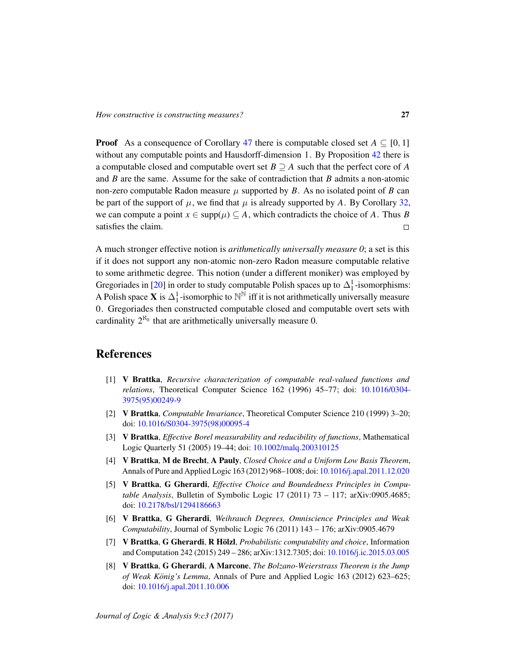**Proof** As a consequence of Corollary 47 there is computable closed set  $A \subseteq [0, 1]$ without any computable points and Hausdorff-dimension 1. By Proposition 42 there is a computable closed and computable overt set *B* ⊇ *A* such that the perfect core of *A* and *B* are the same. Assume for the sake of contradiction that *B* admits a non-atomic non-zero computable Radon measure  $\mu$  supported by  $B$ . As no isolated point of  $B$  can be part of the support of  $\mu$ , we find that  $\mu$  is already supported by A. By Corollary 32, we can compute a point  $x \in \text{supp}(\mu) \subseteq A$ , which contradicts the choice of A. Thus B satisfies the claim.  $\Box$ 

A much stronger effective notion is *arithmetically universally measure 0*; a set is this if it does not support any non-atomic non-zero Radon measure computable relative to some arithmetic degree. This notion (under a different moniker) was employed by Gregoriades in [20] in order to study computable Polish spaces up to  $\Delta_1^1$ -isomorphisms: A Polish space **X** is  $\Delta_1^1$ -isomorphic to  $\mathbb{N}^{\bar{\mathbb{N}}}$  iff it is not arithmetically universally measure 0. Gregoriades then constructed computable closed and computable overt sets with cardinality  $2^{\aleph_0}$  that are arithmetically universally measure 0.

## References

- [1] V Brattka, *Recursive characterization of computable real-valued functions and relations*, Theoretical Computer Science 162 (1996) 45–77; doi: 10.1016/0304- 3975(95)00249-9
- [2] V Brattka, *Computable Invariance*, Theoretical Computer Science 210 (1999) 3–20; doi: 10.1016/S0304-3975(98)00095-4
- [3] V Brattka, *Effective Borel measurability and reducibility of functions*, Mathematical Logic Quarterly 51 (2005) 19–44; doi: 10.1002/malq.200310125
- [4] V Brattka, M de Brecht, A Pauly, *Closed Choice and a Uniform Low Basis Theorem*, Annals of Pure and Applied Logic 163 (2012) 968–1008; doi: 10.1016/j.apal.2011.12.020
- [5] V Brattka, G Gherardi, *Effective Choice and Boundedness Principles in Computable Analysis*, Bulletin of Symbolic Logic 17 (2011) 73 – 117; arXiv:0905.4685; doi: 10.2178/bsl/1294186663
- [6] V Brattka, G Gherardi, *Weihrauch Degrees, Omniscience Principles and Weak Computability*, Journal of Symbolic Logic 76 (2011) 143 – 176; arXiv:0905.4679
- [7] V Brattka, G Gherardi, R Hölzl, *Probabilistic computability and choice*, Information and Computation 242 (2015) 249 – 286; arXiv:1312.7305; doi: 10.1016/j.ic.2015.03.005
- [8] V Brattka, G Gherardi, A Marcone, *The Bolzano-Weierstrass Theorem is the Jump of Weak König's Lemma*, Annals of Pure and Applied Logic 163 (2012) 623–625; doi: 10.1016/j.apal.2011.10.006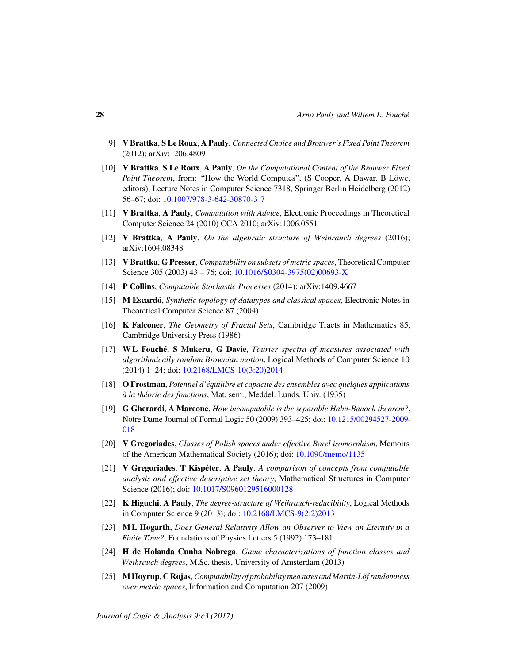- [9] V Brattka, S Le Roux, A Pauly, *Connected Choice and Brouwer's Fixed Point Theorem* (2012); arXiv:1206.4809
- [10] V Brattka, S Le Roux, A Pauly, *On the Computational Content of the Brouwer Fixed Point Theorem*, from: "How the World Computes", (S Cooper, A Dawar, B Löwe, editors), Lecture Notes in Computer Science 7318, Springer Berlin Heidelberg (2012) 56–67; doi: 10.1007/978-3-642-30870-3 7
- [11] V Brattka, A Pauly, *Computation with Advice*, Electronic Proceedings in Theoretical Computer Science 24 (2010) CCA 2010; arXiv:1006.0551
- [12] V Brattka, A Pauly, *On the algebraic structure of Weihrauch degrees* (2016); arXiv:1604.08348
- [13] V Brattka, G Presser, *Computability on subsets of metric spaces*, Theoretical Computer Science 305 (2003) 43 – 76; doi: 10.1016/S0304-3975(02)00693-X
- [14] P Collins, *Computable Stochastic Processes* (2014); arXiv:1409.4667
- [15] M Escardo´, *Synthetic topology of datatypes and classical spaces*, Electronic Notes in Theoretical Computer Science 87 (2004)
- [16] K Falconer, *The Geometry of Fractal Sets*, Cambridge Tracts in Mathematics 85, Cambridge University Press (1986)
- [17] W L Fouche´, S Mukeru, G Davie, *Fourier spectra of measures associated with algorithmically random Brownian motion*, Logical Methods of Computer Science 10 (2014) 1–24; doi: 10.2168/LMCS-10(3:20)2014
- [18] O Frostman, *Potentiel d'equilibre et capacit ´ e des ensembles avec quelques applications ´*  $\dot{a}$  *la théorie des fonctions*, Mat. sem., Meddel. Lunds. Univ. (1935)
- [19] G Gherardi, A Marcone, *How incomputable is the separable Hahn-Banach theorem?*, Notre Dame Journal of Formal Logic 50 (2009) 393–425; doi: 10.1215/00294527-2009- 018
- [20] V Gregoriades, *Classes of Polish spaces under effective Borel isomorphism*, Memoirs of the American Mathematical Society (2016); doi: 10.1090/memo/1135
- [21] V Gregoriades, T Kispéter, A Pauly, *A comparison of concepts from computable analysis and effective descriptive set theory*, Mathematical Structures in Computer Science (2016); doi: 10.1017/S0960129516000128
- [22] K Higuchi, A Pauly, *The degree-structure of Weihrauch-reducibility*, Logical Methods in Computer Science 9 (2013); doi: 10.2168/LMCS-9(2:2)2013
- [23] M L Hogarth, *Does General Relativity Allow an Observer to View an Eternity in a Finite Time?*, Foundations of Physics Letters 5 (1992) 173–181
- [24] H de Holanda Cunha Nobrega, *Game characterizations of function classes and Weihrauch degrees*, M.Sc. thesis, University of Amsterdam (2013)
- [25] M Hoyrup, C Rojas, *Computability of probability measures and Martin-Lof randomness ¨ over metric spaces*, Information and Computation 207 (2009)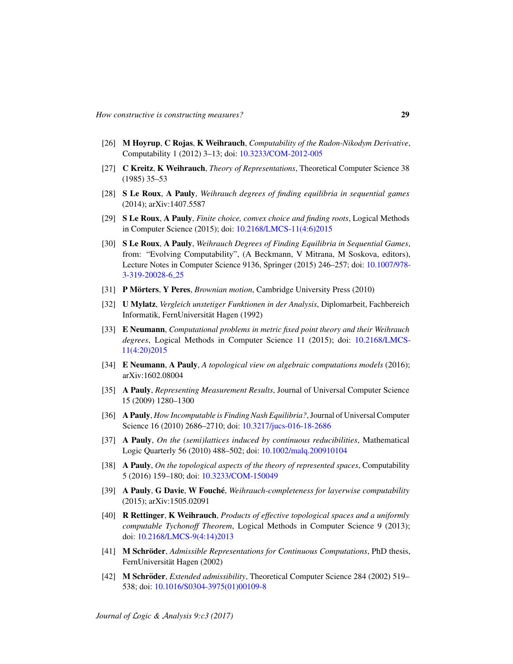- [26] M Hoyrup, C Rojas, K Weihrauch, *Computability of the Radon-Nikodym Derivative*, Computability 1 (2012) 3–13; doi: 10.3233/COM-2012-005
- [27] C Kreitz, K Weihrauch, *Theory of Representations*, Theoretical Computer Science 38 (1985) 35–53
- [28] S Le Roux, A Pauly, *Weihrauch degrees of finding equilibria in sequential games* (2014); arXiv:1407.5587
- [29] S Le Roux, A Pauly, *Finite choice, convex choice and finding roots*, Logical Methods in Computer Science (2015); doi: 10.2168/LMCS-11(4:6)2015
- [30] S Le Roux, A Pauly, *Weihrauch Degrees of Finding Equilibria in Sequential Games*, from: "Evolving Computability", (A Beckmann, V Mitrana, M Soskova, editors), Lecture Notes in Computer Science 9136, Springer (2015) 246–257; doi: 10.1007/978- 3-319-20028-6 25
- [31] **P Mörters, Y Peres,** *Brownian motion*, Cambridge University Press (2010)
- [32] U Mylatz, *Vergleich unstetiger Funktionen in der Analysis*, Diplomarbeit, Fachbereich Informatik, FernUniversitat Hagen (1992) ¨
- [33] E Neumann, *Computational problems in metric fixed point theory and their Weihrauch degrees*, Logical Methods in Computer Science 11 (2015); doi: 10.2168/LMCS-11(4:20)2015
- [34] E Neumann, A Pauly, *A topological view on algebraic computations models* (2016); arXiv:1602.08004
- [35] A Pauly, *Representing Measurement Results*, Journal of Universal Computer Science 15 (2009) 1280–1300
- [36] A Pauly, *How Incomputable is Finding Nash Equilibria?*, Journal of Universal Computer Science 16 (2010) 2686–2710; doi: 10.3217/jucs-016-18-2686
- [37] A Pauly, *On the (semi)lattices induced by continuous reducibilities*, Mathematical Logic Quarterly 56 (2010) 488–502; doi: 10.1002/malq.200910104
- [38] A Pauly, *On the topological aspects of the theory of represented spaces*, Computability 5 (2016) 159–180; doi: 10.3233/COM-150049
- [39] A Pauly, G Davie, W Fouche´, *Weihrauch-completeness for layerwise computability* (2015); arXiv:1505.02091
- [40] R Rettinger, K Weihrauch, *Products of effective topological spaces and a uniformly computable Tychonoff Theorem*, Logical Methods in Computer Science 9 (2013); doi: 10.2168/LMCS-9(4:14)2013
- [41] M Schröder, *Admissible Representations for Continuous Computations*, PhD thesis, FernUniversität Hagen (2002)
- [42] M Schröder, *Extended admissibility*, Theoretical Computer Science 284 (2002) 519– 538; doi: 10.1016/S0304-3975(01)00109-8